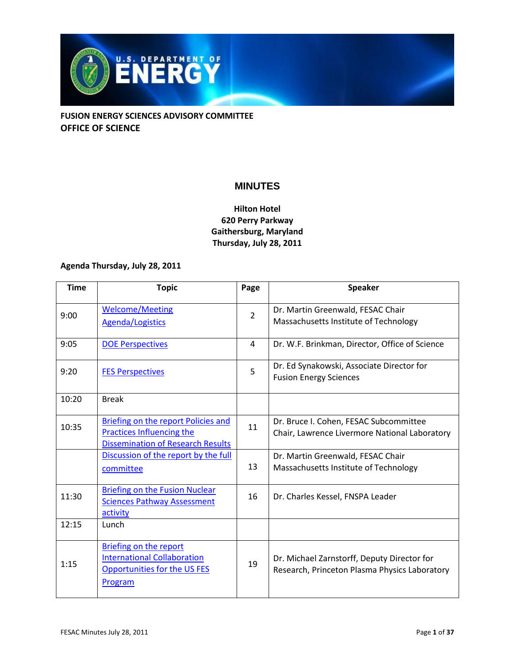

## **MINUTES**

## **Hilton Hotel 620 Perry Parkway Gaithersburg, Maryland Thursday, July 28, 2011**

## **Agenda Thursday, July 28, 2011**

| <b>Time</b> | <b>Topic</b>                                                                                                          | Page           | <b>Speaker</b>                                                                               |
|-------------|-----------------------------------------------------------------------------------------------------------------------|----------------|----------------------------------------------------------------------------------------------|
| 9:00        | <b>Welcome/Meeting</b><br><b>Agenda/Logistics</b>                                                                     | $\overline{2}$ | Dr. Martin Greenwald, FESAC Chair<br>Massachusetts Institute of Technology                   |
| 9:05        | <b>DOE Perspectives</b>                                                                                               | 4              | Dr. W.F. Brinkman, Director, Office of Science                                               |
| 9:20        | <b>FES Perspectives</b>                                                                                               | 5              | Dr. Ed Synakowski, Associate Director for<br><b>Fusion Energy Sciences</b>                   |
| 10:20       | <b>Break</b>                                                                                                          |                |                                                                                              |
| 10:35       | Briefing on the report Policies and<br><b>Practices Influencing the</b><br><b>Dissemination of Research Results</b>   | 11             | Dr. Bruce I. Cohen, FESAC Subcommittee<br>Chair, Lawrence Livermore National Laboratory      |
|             | Discussion of the report by the full<br>committee                                                                     | 13             | Dr. Martin Greenwald, FESAC Chair<br>Massachusetts Institute of Technology                   |
| 11:30       | <b>Briefing on the Fusion Nuclear</b><br><b>Sciences Pathway Assessment</b><br>activity                               | 16             | Dr. Charles Kessel, FNSPA Leader                                                             |
| 12:15       | Lunch                                                                                                                 |                |                                                                                              |
| 1:15        | <b>Briefing on the report</b><br><b>International Collaboration</b><br>Opportunities for the US FES<br><b>Program</b> | 19             | Dr. Michael Zarnstorff, Deputy Director for<br>Research, Princeton Plasma Physics Laboratory |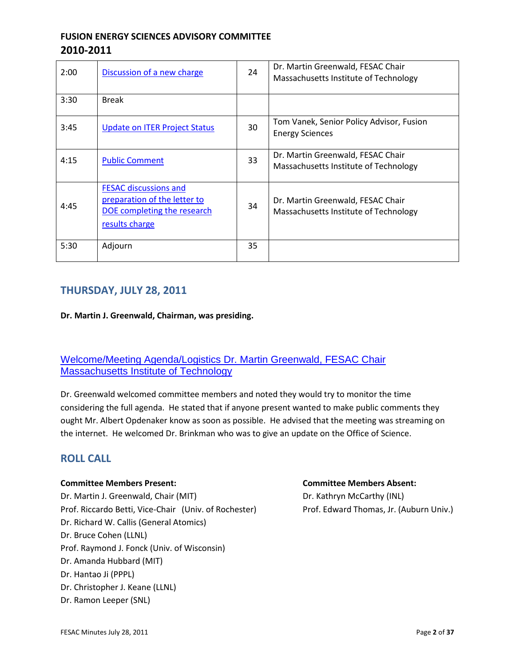# **FUSION ENERGY SCIENCES ADVISORY COMMITTEE 2010-2011**

| 2:00 | Discussion of a new charge                                                                                    | 24 | Dr. Martin Greenwald, FESAC Chair<br>Massachusetts Institute of Technology |
|------|---------------------------------------------------------------------------------------------------------------|----|----------------------------------------------------------------------------|
| 3:30 | <b>Break</b>                                                                                                  |    |                                                                            |
| 3:45 | <b>Update on ITER Project Status</b>                                                                          | 30 | Tom Vanek, Senior Policy Advisor, Fusion<br><b>Energy Sciences</b>         |
| 4:15 | <b>Public Comment</b>                                                                                         | 33 | Dr. Martin Greenwald, FESAC Chair<br>Massachusetts Institute of Technology |
| 4:45 | <b>FESAC discussions and</b><br>preparation of the letter to<br>DOE completing the research<br>results charge | 34 | Dr. Martin Greenwald, FESAC Chair<br>Massachusetts Institute of Technology |
| 5:30 | Adjourn                                                                                                       | 35 |                                                                            |

# **THURSDAY, JULY 28, 2011**

**Dr. Martin J. Greenwald, Chairman, was presiding.**

## [Welcome/Meeting Agenda/Logistics Dr. Martin Greenwald, FESAC Chair](http://doe.granicus.com/wordlinkreceiver.php?clip_id=f4c7ab3c-0abb-102f-bfd0-5f1650509f30&meta_id=1faeb0e5-0abc-102f-bfd0-5f1650509f30&time=25)  [Massachusetts Institute of Technology](http://doe.granicus.com/wordlinkreceiver.php?clip_id=f4c7ab3c-0abb-102f-bfd0-5f1650509f30&meta_id=1faeb0e5-0abc-102f-bfd0-5f1650509f30&time=25)

Dr. Greenwald welcomed committee members and noted they would try to monitor the time considering the full agenda. He stated that if anyone present wanted to make public comments they ought Mr. Albert Opdenaker know as soon as possible. He advised that the meeting was streaming on the internet. He welcomed Dr. Brinkman who was to give an update on the Office of Science.

## **ROLL CALL**

#### **Committee Members Present: Committee Members Absent:**

Dr. Martin J. Greenwald, Chair (MIT) Dr. Kathryn McCarthy (INL) Prof. Riccardo Betti, Vice-Chair (Univ. of Rochester) Prof. Edward Thomas, Jr. (Auburn Univ.) Dr. Richard W. Callis (General Atomics) Dr. Bruce Cohen (LLNL) Prof. Raymond J. Fonck (Univ. of Wisconsin) Dr. Amanda Hubbard (MIT) Dr. Hantao Ji (PPPL) Dr. Christopher J. Keane (LLNL) Dr. Ramon Leeper (SNL)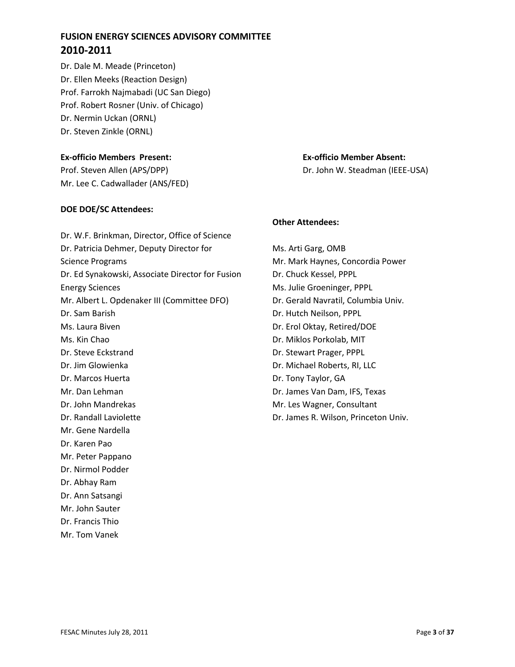# **FUSION ENERGY SCIENCES ADVISORY COMMITTEE 2010-2011**

Dr. Dale M. Meade (Princeton) Dr. Ellen Meeks (Reaction Design) Prof. Farrokh Najmabadi (UC San Diego) Prof. Robert Rosner (Univ. of Chicago) Dr. Nermin Uckan (ORNL) Dr. Steven Zinkle (ORNL)

#### **Ex-officio Members Present: Ex-officio Member Absent:**

Prof. Steven Allen (APS/DPP) Dr. John W. Steadman (IEEE-USA) Mr. Lee C. Cadwallader (ANS/FED)

#### **DOE DOE/SC Attendees:**

Dr. W.F. Brinkman, Director, Office of Science Dr. Patricia Dehmer, Deputy Director for Science Programs Dr. Ed Synakowski, Associate Director for Fusion Energy Sciences Mr. Albert L. Opdenaker III (Committee DFO) Dr. Sam Barish Ms. Laura Biven Ms. Kin Chao Dr. Steve Eckstrand Dr. Jim Glowienka Dr. Marcos Huerta Mr. Dan Lehman Dr. John Mandrekas Dr. Randall Laviolette Mr. Gene Nardella Dr. Karen Pao Mr. Peter Pappano Dr. Nirmol Podder Dr. Abhay Ram Dr. Ann Satsangi Mr. John Sauter

Dr. Francis Thio

Mr. Tom Vanek

#### **Other Attendees:**

Ms. Arti Garg, OMB Mr. Mark Haynes, Concordia Power Dr. Chuck Kessel, PPPL Ms. Julie Groeninger, PPPL Dr. Gerald Navratil, Columbia Univ. Dr. Hutch Neilson, PPPL Dr. Erol Oktay, Retired/DOE Dr. Miklos Porkolab, MIT Dr. Stewart Prager, PPPL Dr. Michael Roberts, RI, LLC Dr. Tony Taylor, GA Dr. James Van Dam, IFS, Texas Mr. Les Wagner, Consultant Dr. James R. Wilson, Princeton Univ.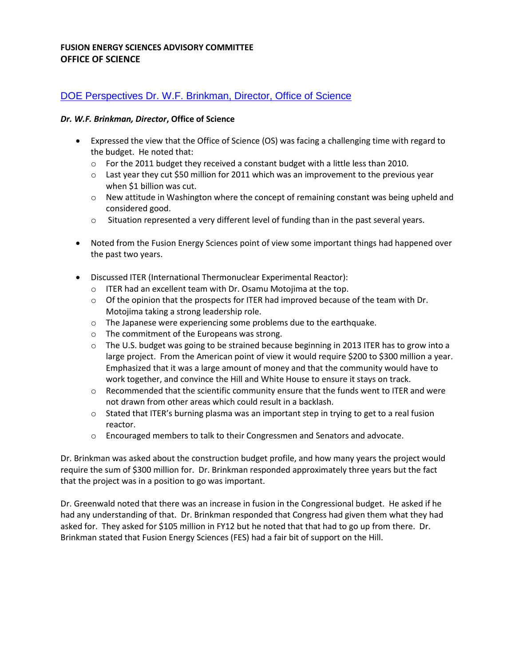## [DOE Perspectives Dr. W.F. Brinkman, Director, Office of Science](http://doe.granicus.com/wordlinkreceiver.php?clip_id=f4c7ab3c-0abb-102f-bfd0-5f1650509f30&meta_id=1fb8581b-0abc-102f-bfd0-5f1650509f30&time=135)

#### *Dr. W.F. Brinkman, Director***, Office of Science**

- Expressed the view that the Office of Science (OS) was facing a challenging time with regard to the budget. He noted that:
	- $\circ$  For the 2011 budget they received a constant budget with a little less than 2010.
	- $\circ$  Last year they cut \$50 million for 2011 which was an improvement to the previous year when \$1 billion was cut.
	- $\circ$  New attitude in Washington where the concept of remaining constant was being upheld and considered good.
	- o Situation represented a very different level of funding than in the past several years.
- Noted from the Fusion Energy Sciences point of view some important things had happened over the past two years.
- Discussed ITER (International Thermonuclear Experimental Reactor):
	- o ITER had an excellent team with Dr. Osamu Motojima at the top.
	- $\circ$  Of the opinion that the prospects for ITER had improved because of the team with Dr. Motojima taking a strong leadership role.
	- o The Japanese were experiencing some problems due to the earthquake.
	- o The commitment of the Europeans was strong.
	- $\circ$  The U.S. budget was going to be strained because beginning in 2013 ITER has to grow into a large project. From the American point of view it would require \$200 to \$300 million a year. Emphasized that it was a large amount of money and that the community would have to work together, and convince the Hill and White House to ensure it stays on track.
	- $\circ$  Recommended that the scientific community ensure that the funds went to ITER and were not drawn from other areas which could result in a backlash.
	- $\circ$  Stated that ITER's burning plasma was an important step in trying to get to a real fusion reactor.
	- o Encouraged members to talk to their Congressmen and Senators and advocate.

Dr. Brinkman was asked about the construction budget profile, and how many years the project would require the sum of \$300 million for. Dr. Brinkman responded approximately three years but the fact that the project was in a position to go was important.

Dr. Greenwald noted that there was an increase in fusion in the Congressional budget. He asked if he had any understanding of that. Dr. Brinkman responded that Congress had given them what they had asked for. They asked for \$105 million in FY12 but he noted that that had to go up from there. Dr. Brinkman stated that Fusion Energy Sciences (FES) had a fair bit of support on the Hill.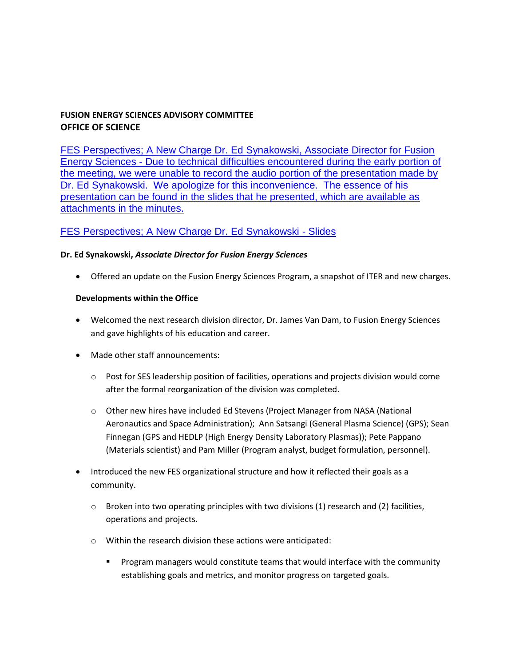[FES Perspectives; A New Charge Dr. Ed Synakowski, Associate Director for Fusion](http://doe.granicus.com/wordlinkreceiver.php?clip_id=f4c7ab3c-0abb-102f-bfd0-5f1650509f30&meta_id=1fbca4bc-0abc-102f-bfd0-5f1650509f30&time=782)  Energy Sciences - [Due to technical difficulties encountered during the early portion of](http://doe.granicus.com/wordlinkreceiver.php?clip_id=f4c7ab3c-0abb-102f-bfd0-5f1650509f30&meta_id=1fbca4bc-0abc-102f-bfd0-5f1650509f30&time=782)  [the meeting, we were unable to record the audio portion of the presentation made by](http://doe.granicus.com/wordlinkreceiver.php?clip_id=f4c7ab3c-0abb-102f-bfd0-5f1650509f30&meta_id=1fbca4bc-0abc-102f-bfd0-5f1650509f30&time=782)  [Dr. Ed Synakowski. We apologize for this inconvenience. The essence of his](http://doe.granicus.com/wordlinkreceiver.php?clip_id=f4c7ab3c-0abb-102f-bfd0-5f1650509f30&meta_id=1fbca4bc-0abc-102f-bfd0-5f1650509f30&time=782)  [presentation can be found in the slides that he presented, which are available as](http://doe.granicus.com/wordlinkreceiver.php?clip_id=f4c7ab3c-0abb-102f-bfd0-5f1650509f30&meta_id=1fbca4bc-0abc-102f-bfd0-5f1650509f30&time=782)  [attachments in the minutes.](http://doe.granicus.com/wordlinkreceiver.php?clip_id=f4c7ab3c-0abb-102f-bfd0-5f1650509f30&meta_id=1fbca4bc-0abc-102f-bfd0-5f1650509f30&time=782)

# [FES Perspectives; A New Charge Dr. Ed Synakowski -](http://doe.granicus.com/DocumentViewer.php?file=doe_11206d90b16691da8332336e67b38707.pdf) Slides

#### **Dr. Ed Synakowski,** *Associate Director for Fusion Energy Sciences*

Offered an update on the Fusion Energy Sciences Program, a snapshot of ITER and new charges.

#### **Developments within the Office**

- Welcomed the next research division director, Dr. James Van Dam, to Fusion Energy Sciences and gave highlights of his education and career.
- Made other staff announcements:
	- o Post for SES leadership position of facilities, operations and projects division would come after the formal reorganization of the division was completed.
	- o Other new hires have included Ed Stevens (Project Manager from NASA (National Aeronautics and Space Administration); Ann Satsangi (General Plasma Science) (GPS); Sean Finnegan (GPS and HEDLP (High Energy Density Laboratory Plasmas)); Pete Pappano (Materials scientist) and Pam Miller (Program analyst, budget formulation, personnel).
- Introduced the new FES organizational structure and how it reflected their goals as a community.
	- $\circ$  Broken into two operating principles with two divisions (1) research and (2) facilities, operations and projects.
	- o Within the research division these actions were anticipated:
		- **Program managers would constitute teams that would interface with the community** establishing goals and metrics, and monitor progress on targeted goals.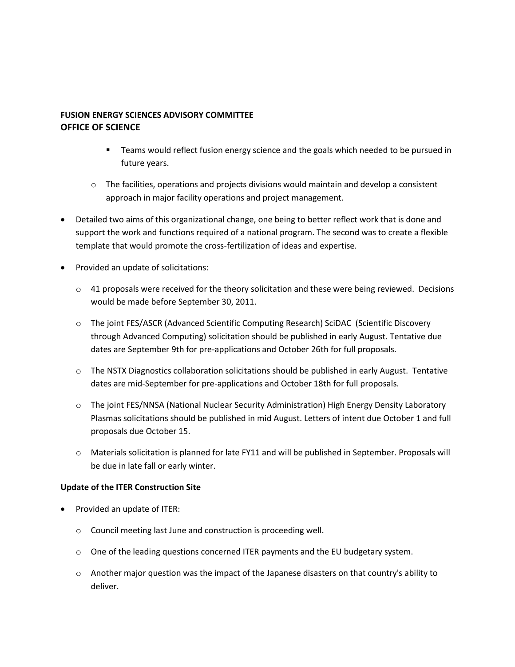- **Teams would reflect fusion energy science and the goals which needed to be pursued in** future years.
- $\circ$  The facilities, operations and projects divisions would maintain and develop a consistent approach in major facility operations and project management.
- Detailed two aims of this organizational change, one being to better reflect work that is done and support the work and functions required of a national program. The second was to create a flexible template that would promote the cross-fertilization of ideas and expertise.
- Provided an update of solicitations:
	- $\circ$  41 proposals were received for the theory solicitation and these were being reviewed. Decisions would be made before September 30, 2011.
	- o The joint FES/ASCR (Advanced Scientific Computing Research) SciDAC (Scientific Discovery through Advanced Computing) solicitation should be published in early August. Tentative due dates are September 9th for pre-applications and October 26th for full proposals.
	- o The NSTX Diagnostics collaboration solicitations should be published in early August. Tentative dates are mid-September for pre-applications and October 18th for full proposals.
	- o The joint FES/NNSA (National Nuclear Security Administration) High Energy Density Laboratory Plasmas solicitations should be published in mid August. Letters of intent due October 1 and full proposals due October 15.
	- $\circ$  Materials solicitation is planned for late FY11 and will be published in September. Proposals will be due in late fall or early winter.

#### **Update of the ITER Construction Site**

- Provided an update of ITER:
	- o Council meeting last June and construction is proceeding well.
	- $\circ$  One of the leading questions concerned ITER payments and the EU budgetary system.
	- $\circ$  Another major question was the impact of the Japanese disasters on that country's ability to deliver.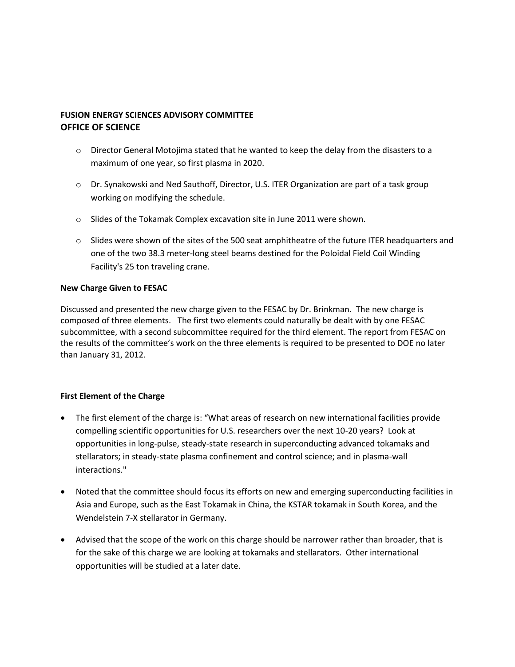- $\circ$  Director General Motojima stated that he wanted to keep the delay from the disasters to a maximum of one year, so first plasma in 2020.
- o Dr. Synakowski and Ned Sauthoff, Director, U.S. ITER Organization are part of a task group working on modifying the schedule.
- o Slides of the Tokamak Complex excavation site in June 2011 were shown.
- $\circ$  Slides were shown of the sites of the 500 seat amphitheatre of the future ITER headquarters and one of the two 38.3 meter-long steel beams destined for the Poloidal Field Coil Winding Facility's 25 ton traveling crane.

#### **New Charge Given to FESAC**

Discussed and presented the new charge given to the FESAC by Dr. Brinkman. The new charge is composed of three elements. The first two elements could naturally be dealt with by one FESAC subcommittee, with a second subcommittee required for the third element. The report from FESAC on the results of the committee's work on the three elements is required to be presented to DOE no later than January 31, 2012.

#### **First Element of the Charge**

- The first element of the charge is: "What areas of research on new international facilities provide compelling scientific opportunities for U.S. researchers over the next 10-20 years? Look at opportunities in long-pulse, steady-state research in superconducting advanced tokamaks and stellarators; in steady-state plasma confinement and control science; and in plasma-wall interactions."
- Noted that the committee should focus its efforts on new and emerging superconducting facilities in Asia and Europe, such as the East Tokamak in China, the KSTAR tokamak in South Korea, and the Wendelstein 7-X stellarator in Germany.
- Advised that the scope of the work on this charge should be narrower rather than broader, that is for the sake of this charge we are looking at tokamaks and stellarators. Other international opportunities will be studied at a later date.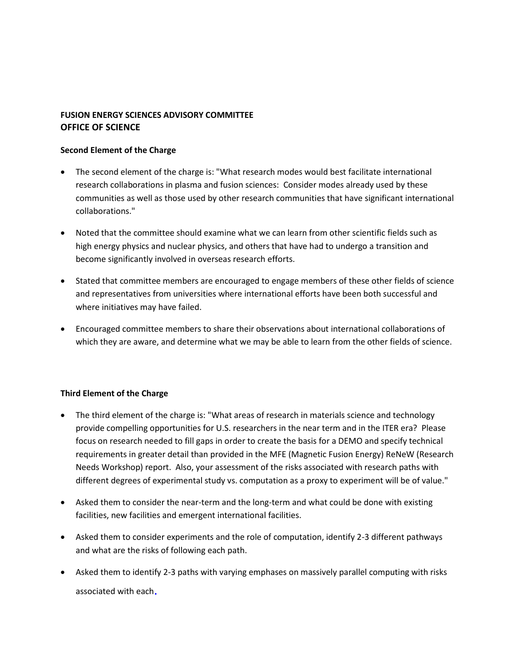#### **Second Element of the Charge**

- The second element of the charge is: "What research modes would best facilitate international research collaborations in plasma and fusion sciences: Consider modes already used by these communities as well as those used by other research communities that have significant international collaborations."
- Noted that the committee should examine what we can learn from other scientific fields such as high energy physics and nuclear physics, and others that have had to undergo a transition and become significantly involved in overseas research efforts.
- Stated that committee members are encouraged to engage members of these other fields of science and representatives from universities where international efforts have been both successful and where initiatives may have failed.
- Encouraged committee members to share their observations about international collaborations of which they are aware, and determine what we may be able to learn from the other fields of science.

#### **Third Element of the Charge**

- The third element of the charge is: "What areas of research in materials science and technology provide compelling opportunities for U.S. researchers in the near term and in the ITER era? Please focus on research needed to fill gaps in order to create the basis for a DEMO and specify technical requirements in greater detail than provided in the MFE (Magnetic Fusion Energy) ReNeW (Research Needs Workshop) report. Also, your assessment of the risks associated with research paths with different degrees of experimental study vs. computation as a proxy to experiment will be of value."
- Asked them to consider the near-term and the long-term and what could be done with existing facilities, new facilities and emergent international facilities.
- Asked them to consider experiments and the role of computation, identify 2-3 different pathways and what are the risks of following each path.
- Asked them to identify 2-3 paths with varying emphases on massively parallel computing with risks associated with each.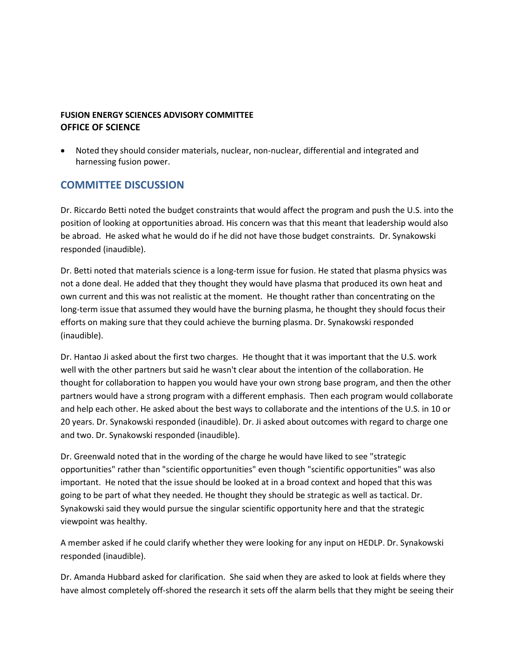Noted they should consider materials, nuclear, non-nuclear, differential and integrated and harnessing fusion power.

# **COMMITTEE DISCUSSION**

Dr. Riccardo Betti noted the budget constraints that would affect the program and push the U.S. into the position of looking at opportunities abroad. His concern was that this meant that leadership would also be abroad. He asked what he would do if he did not have those budget constraints. Dr. Synakowski responded (inaudible).

Dr. Betti noted that materials science is a long-term issue for fusion. He stated that plasma physics was not a done deal. He added that they thought they would have plasma that produced its own heat and own current and this was not realistic at the moment. He thought rather than concentrating on the long-term issue that assumed they would have the burning plasma, he thought they should focus their efforts on making sure that they could achieve the burning plasma. Dr. Synakowski responded (inaudible).

Dr. Hantao Ji asked about the first two charges. He thought that it was important that the U.S. work well with the other partners but said he wasn't clear about the intention of the collaboration. He thought for collaboration to happen you would have your own strong base program, and then the other partners would have a strong program with a different emphasis. Then each program would collaborate and help each other. He asked about the best ways to collaborate and the intentions of the U.S. in 10 or 20 years. Dr. Synakowski responded (inaudible). Dr. Ji asked about outcomes with regard to charge one and two. Dr. Synakowski responded (inaudible).

Dr. Greenwald noted that in the wording of the charge he would have liked to see "strategic opportunities" rather than "scientific opportunities" even though "scientific opportunities" was also important. He noted that the issue should be looked at in a broad context and hoped that this was going to be part of what they needed. He thought they should be strategic as well as tactical. Dr. Synakowski said they would pursue the singular scientific opportunity here and that the strategic viewpoint was healthy.

A member asked if he could clarify whether they were looking for any input on HEDLP. Dr. Synakowski responded (inaudible).

Dr. Amanda Hubbard asked for clarification. She said when they are asked to look at fields where they have almost completely off-shored the research it sets off the alarm bells that they might be seeing their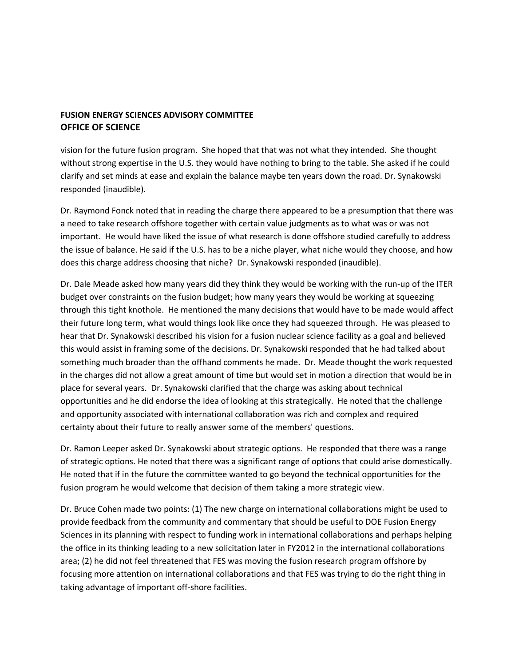vision for the future fusion program. She hoped that that was not what they intended. She thought without strong expertise in the U.S. they would have nothing to bring to the table. She asked if he could clarify and set minds at ease and explain the balance maybe ten years down the road. Dr. Synakowski responded (inaudible).

Dr. Raymond Fonck noted that in reading the charge there appeared to be a presumption that there was a need to take research offshore together with certain value judgments as to what was or was not important. He would have liked the issue of what research is done offshore studied carefully to address the issue of balance. He said if the U.S. has to be a niche player, what niche would they choose, and how does this charge address choosing that niche? Dr. Synakowski responded (inaudible).

Dr. Dale Meade asked how many years did they think they would be working with the run-up of the ITER budget over constraints on the fusion budget; how many years they would be working at squeezing through this tight knothole. He mentioned the many decisions that would have to be made would affect their future long term, what would things look like once they had squeezed through. He was pleased to hear that Dr. Synakowski described his vision for a fusion nuclear science facility as a goal and believed this would assist in framing some of the decisions. Dr. Synakowski responded that he had talked about something much broader than the offhand comments he made. Dr. Meade thought the work requested in the charges did not allow a great amount of time but would set in motion a direction that would be in place for several years. Dr. Synakowski clarified that the charge was asking about technical opportunities and he did endorse the idea of looking at this strategically. He noted that the challenge and opportunity associated with international collaboration was rich and complex and required certainty about their future to really answer some of the members' questions.

Dr. Ramon Leeper asked Dr. Synakowski about strategic options. He responded that there was a range of strategic options. He noted that there was a significant range of options that could arise domestically. He noted that if in the future the committee wanted to go beyond the technical opportunities for the fusion program he would welcome that decision of them taking a more strategic view.

Dr. Bruce Cohen made two points: (1) The new charge on international collaborations might be used to provide feedback from the community and commentary that should be useful to DOE Fusion Energy Sciences in its planning with respect to funding work in international collaborations and perhaps helping the office in its thinking leading to a new solicitation later in FY2012 in the international collaborations area; (2) he did not feel threatened that FES was moving the fusion research program offshore by focusing more attention on international collaborations and that FES was trying to do the right thing in taking advantage of important off-shore facilities.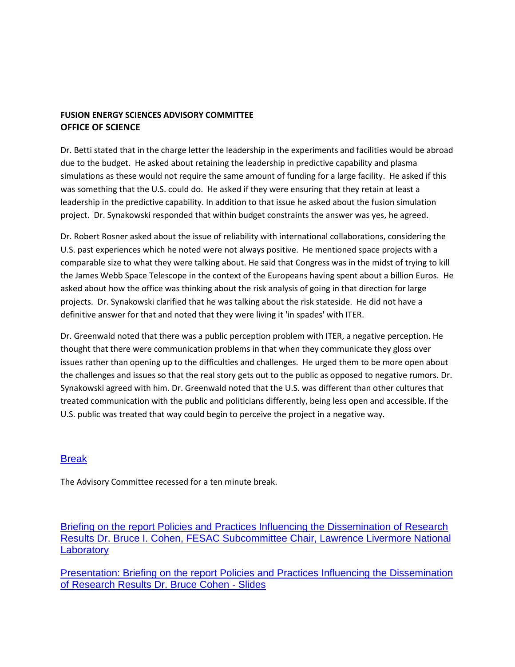Dr. Betti stated that in the charge letter the leadership in the experiments and facilities would be abroad due to the budget. He asked about retaining the leadership in predictive capability and plasma simulations as these would not require the same amount of funding for a large facility. He asked if this was something that the U.S. could do. He asked if they were ensuring that they retain at least a leadership in the predictive capability. In addition to that issue he asked about the fusion simulation project. Dr. Synakowski responded that within budget constraints the answer was yes, he agreed.

Dr. Robert Rosner asked about the issue of reliability with international collaborations, considering the U.S. past experiences which he noted were not always positive. He mentioned space projects with a comparable size to what they were talking about. He said that Congress was in the midst of trying to kill the James Webb Space Telescope in the context of the Europeans having spent about a billion Euros. He asked about how the office was thinking about the risk analysis of going in that direction for large projects. Dr. Synakowski clarified that he was talking about the risk stateside. He did not have a definitive answer for that and noted that they were living it 'in spades' with ITER.

Dr. Greenwald noted that there was a public perception problem with ITER, a negative perception. He thought that there were communication problems in that when they communicate they gloss over issues rather than opening up to the difficulties and challenges. He urged them to be more open about the challenges and issues so that the real story gets out to the public as opposed to negative rumors. Dr. Synakowski agreed with him. Dr. Greenwald noted that the U.S. was different than other cultures that treated communication with the public and politicians differently, being less open and accessible. If the U.S. public was treated that way could begin to perceive the project in a negative way.

## [Break](http://doe.granicus.com/wordlinkreceiver.php?clip_id=f4c7ab3c-0abb-102f-bfd0-5f1650509f30&meta_id=1fc05f31-0abc-102f-bfd0-5f1650509f30&time=4727)

The Advisory Committee recessed for a ten minute break.

[Briefing on the report Policies and Practices Influencing the Dissemination of Research](http://doe.granicus.com/wordlinkreceiver.php?clip_id=f4c7ab3c-0abb-102f-bfd0-5f1650509f30&meta_id=1fc3d931-0abc-102f-bfd0-5f1650509f30&time=5955)  [Results Dr. Bruce I. Cohen, FESAC Subcommittee Chair, Lawrence Livermore National](http://doe.granicus.com/wordlinkreceiver.php?clip_id=f4c7ab3c-0abb-102f-bfd0-5f1650509f30&meta_id=1fc3d931-0abc-102f-bfd0-5f1650509f30&time=5955)  **Laboratory** 

[Presentation: Briefing on the report Policies and Practices Influencing the Dissemination](http://doe.granicus.com/DocumentViewer.php?file=doe_5a1d43ec74bc68356b5f06fa745c5582.pdf)  [of Research Results Dr. Bruce Cohen -](http://doe.granicus.com/DocumentViewer.php?file=doe_5a1d43ec74bc68356b5f06fa745c5582.pdf) Slides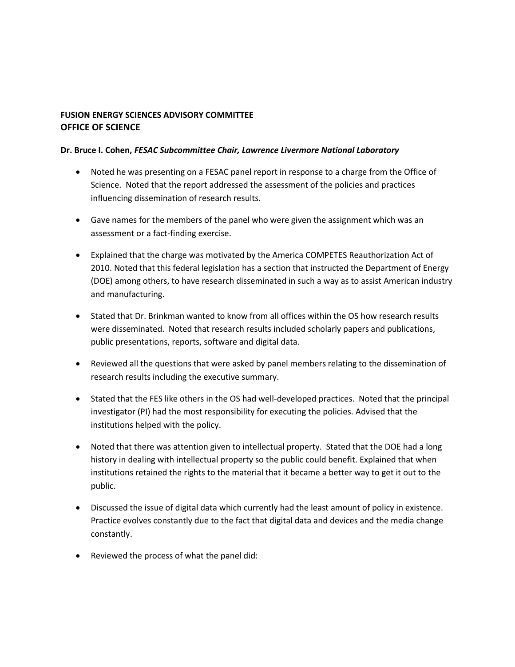#### **Dr. Bruce I. Cohen,** *FESAC Subcommittee Chair, Lawrence Livermore National Laboratory*

- Noted he was presenting on a FESAC panel report in response to a charge from the Office of Science. Noted that the report addressed the assessment of the policies and practices influencing dissemination of research results.
- Gave names for the members of the panel who were given the assignment which was an assessment or a fact-finding exercise.
- Explained that the charge was motivated by the America COMPETES Reauthorization Act of 2010. Noted that this federal legislation has a section that instructed the Department of Energy (DOE) among others, to have research disseminated in such a way as to assist American industry and manufacturing.
- Stated that Dr. Brinkman wanted to know from all offices within the OS how research results were disseminated. Noted that research results included scholarly papers and publications, public presentations, reports, software and digital data.
- Reviewed all the questions that were asked by panel members relating to the dissemination of research results including the executive summary.
- Stated that the FES like others in the OS had well-developed practices. Noted that the principal investigator (PI) had the most responsibility for executing the policies. Advised that the institutions helped with the policy.
- Noted that there was attention given to intellectual property. Stated that the DOE had a long history in dealing with intellectual property so the public could benefit. Explained that when institutions retained the rights to the material that it became a better way to get it out to the public.
- Discussed the issue of digital data which currently had the least amount of policy in existence. Practice evolves constantly due to the fact that digital data and devices and the media change constantly.
- Reviewed the process of what the panel did: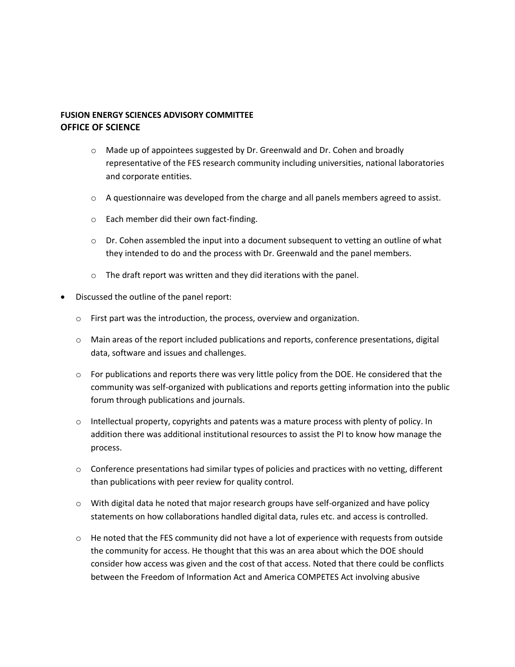- o Made up of appointees suggested by Dr. Greenwald and Dr. Cohen and broadly representative of the FES research community including universities, national laboratories and corporate entities.
- $\circ$  A questionnaire was developed from the charge and all panels members agreed to assist.
- o Each member did their own fact-finding.
- $\circ$  Dr. Cohen assembled the input into a document subsequent to vetting an outline of what they intended to do and the process with Dr. Greenwald and the panel members.
- o The draft report was written and they did iterations with the panel.
- Discussed the outline of the panel report:
	- o First part was the introduction, the process, overview and organization.
	- $\circ$  Main areas of the report included publications and reports, conference presentations, digital data, software and issues and challenges.
	- $\circ$  For publications and reports there was very little policy from the DOE. He considered that the community was self-organized with publications and reports getting information into the public forum through publications and journals.
	- $\circ$  Intellectual property, copyrights and patents was a mature process with plenty of policy. In addition there was additional institutional resources to assist the PI to know how manage the process.
	- $\circ$  Conference presentations had similar types of policies and practices with no vetting, different than publications with peer review for quality control.
	- o With digital data he noted that major research groups have self-organized and have policy statements on how collaborations handled digital data, rules etc. and access is controlled.
	- $\circ$  He noted that the FES community did not have a lot of experience with requests from outside the community for access. He thought that this was an area about which the DOE should consider how access was given and the cost of that access. Noted that there could be conflicts between the Freedom of Information Act and America COMPETES Act involving abusive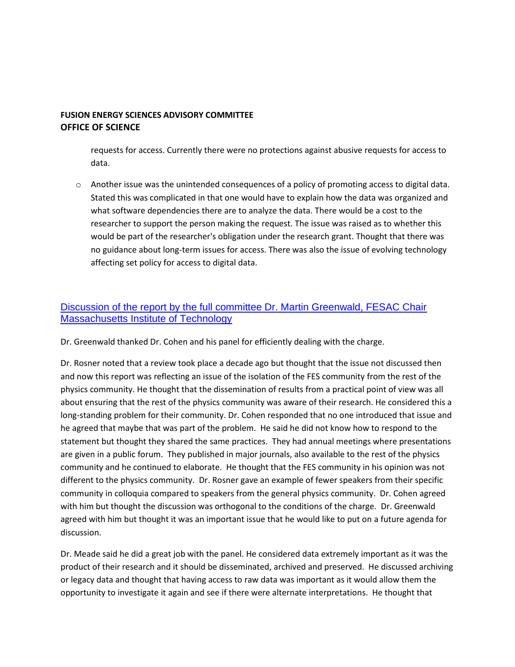requests for access. Currently there were no protections against abusive requests for access to data.

o Another issue was the unintended consequences of a policy of promoting access to digital data. Stated this was complicated in that one would have to explain how the data was organized and what software dependencies there are to analyze the data. There would be a cost to the researcher to support the person making the request. The issue was raised as to whether this would be part of the researcher's obligation under the research grant. Thought that there was no guidance about long-term issues for access. There was also the issue of evolving technology affecting set policy for access to digital data.

# [Discussion of the report by the full committee Dr. Martin Greenwald, FESAC Chair](http://doe.granicus.com/wordlinkreceiver.php?clip_id=f4c7ab3c-0abb-102f-bfd0-5f1650509f30&meta_id=1fc64f22-0abc-102f-bfd0-5f1650509f30&time=7475)  [Massachusetts Institute of Technology](http://doe.granicus.com/wordlinkreceiver.php?clip_id=f4c7ab3c-0abb-102f-bfd0-5f1650509f30&meta_id=1fc64f22-0abc-102f-bfd0-5f1650509f30&time=7475)

Dr. Greenwald thanked Dr. Cohen and his panel for efficiently dealing with the charge.

Dr. Rosner noted that a review took place a decade ago but thought that the issue not discussed then and now this report was reflecting an issue of the isolation of the FES community from the rest of the physics community. He thought that the dissemination of results from a practical point of view was all about ensuring that the rest of the physics community was aware of their research. He considered this a long-standing problem for their community. Dr. Cohen responded that no one introduced that issue and he agreed that maybe that was part of the problem. He said he did not know how to respond to the statement but thought they shared the same practices. They had annual meetings where presentations are given in a public forum. They published in major journals, also available to the rest of the physics community and he continued to elaborate. He thought that the FES community in his opinion was not different to the physics community. Dr. Rosner gave an example of fewer speakers from their specific community in colloquia compared to speakers from the general physics community. Dr. Cohen agreed with him but thought the discussion was orthogonal to the conditions of the charge. Dr. Greenwald agreed with him but thought it was an important issue that he would like to put on a future agenda for discussion.

Dr. Meade said he did a great job with the panel. He considered data extremely important as it was the product of their research and it should be disseminated, archived and preserved. He discussed archiving or legacy data and thought that having access to raw data was important as it would allow them the opportunity to investigate it again and see if there were alternate interpretations. He thought that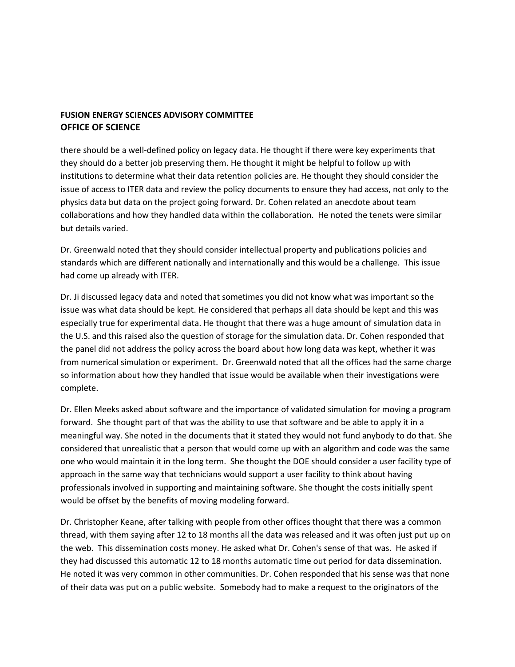there should be a well-defined policy on legacy data. He thought if there were key experiments that they should do a better job preserving them. He thought it might be helpful to follow up with institutions to determine what their data retention policies are. He thought they should consider the issue of access to ITER data and review the policy documents to ensure they had access, not only to the physics data but data on the project going forward. Dr. Cohen related an anecdote about team collaborations and how they handled data within the collaboration. He noted the tenets were similar but details varied.

Dr. Greenwald noted that they should consider intellectual property and publications policies and standards which are different nationally and internationally and this would be a challenge. This issue had come up already with ITER.

Dr. Ji discussed legacy data and noted that sometimes you did not know what was important so the issue was what data should be kept. He considered that perhaps all data should be kept and this was especially true for experimental data. He thought that there was a huge amount of simulation data in the U.S. and this raised also the question of storage for the simulation data. Dr. Cohen responded that the panel did not address the policy across the board about how long data was kept, whether it was from numerical simulation or experiment. Dr. Greenwald noted that all the offices had the same charge so information about how they handled that issue would be available when their investigations were complete.

Dr. Ellen Meeks asked about software and the importance of validated simulation for moving a program forward. She thought part of that was the ability to use that software and be able to apply it in a meaningful way. She noted in the documents that it stated they would not fund anybody to do that. She considered that unrealistic that a person that would come up with an algorithm and code was the same one who would maintain it in the long term. She thought the DOE should consider a user facility type of approach in the same way that technicians would support a user facility to think about having professionals involved in supporting and maintaining software. She thought the costs initially spent would be offset by the benefits of moving modeling forward.

Dr. Christopher Keane, after talking with people from other offices thought that there was a common thread, with them saying after 12 to 18 months all the data was released and it was often just put up on the web. This dissemination costs money. He asked what Dr. Cohen's sense of that was. He asked if they had discussed this automatic 12 to 18 months automatic time out period for data dissemination. He noted it was very common in other communities. Dr. Cohen responded that his sense was that none of their data was put on a public website. Somebody had to make a request to the originators of the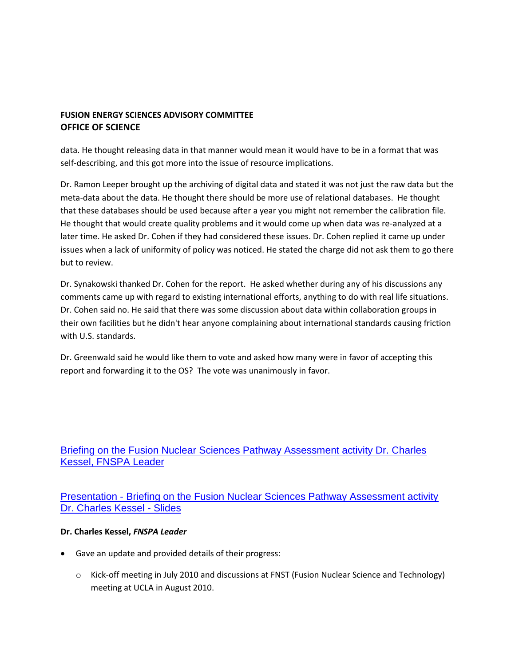data. He thought releasing data in that manner would mean it would have to be in a format that was self-describing, and this got more into the issue of resource implications.

Dr. Ramon Leeper brought up the archiving of digital data and stated it was not just the raw data but the meta-data about the data. He thought there should be more use of relational databases. He thought that these databases should be used because after a year you might not remember the calibration file. He thought that would create quality problems and it would come up when data was re-analyzed at a later time. He asked Dr. Cohen if they had considered these issues. Dr. Cohen replied it came up under issues when a lack of uniformity of policy was noticed. He stated the charge did not ask them to go there but to review.

Dr. Synakowski thanked Dr. Cohen for the report. He asked whether during any of his discussions any comments came up with regard to existing international efforts, anything to do with real life situations. Dr. Cohen said no. He said that there was some discussion about data within collaboration groups in their own facilities but he didn't hear anyone complaining about international standards causing friction with U.S. standards.

Dr. Greenwald said he would like them to vote and asked how many were in favor of accepting this report and forwarding it to the OS? The vote was unanimously in favor.

[Briefing on the Fusion Nuclear Sciences Pathway Assessment activity Dr. Charles](http://doe.granicus.com/wordlinkreceiver.php?clip_id=f4c7ab3c-0abb-102f-bfd0-5f1650509f30&meta_id=1fc9a6f8-0abc-102f-bfd0-5f1650509f30&time=9110)  [Kessel, FNSPA Leader](http://doe.granicus.com/wordlinkreceiver.php?clip_id=f4c7ab3c-0abb-102f-bfd0-5f1650509f30&meta_id=1fc9a6f8-0abc-102f-bfd0-5f1650509f30&time=9110) 

Presentation - [Briefing on the Fusion Nuclear Sciences Pathway Assessment activity](http://doe.granicus.com/DocumentViewer.php?file=doe_dbaa53c34dfb6770d5e55eaa05511439.pdf)  [Dr. Charles Kessel -](http://doe.granicus.com/DocumentViewer.php?file=doe_dbaa53c34dfb6770d5e55eaa05511439.pdf) Slides

#### **Dr. Charles Kessel,** *FNSPA Leader*

- Gave an update and provided details of their progress:
	- o Kick-off meeting in July 2010 and discussions at FNST (Fusion Nuclear Science and Technology) meeting at UCLA in August 2010.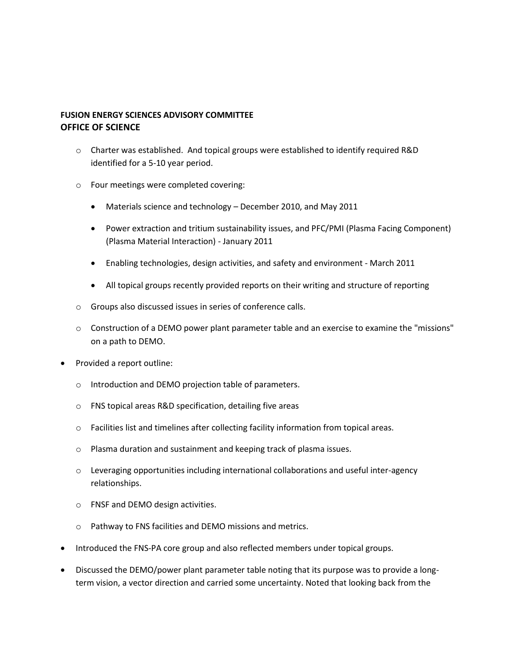- $\circ$  Charter was established. And topical groups were established to identify required R&D identified for a 5-10 year period.
- o Four meetings were completed covering:
	- Materials science and technology December 2010, and May 2011
	- Power extraction and tritium sustainability issues, and PFC/PMI (Plasma Facing Component) (Plasma Material Interaction) - January 2011
	- Enabling technologies, design activities, and safety and environment March 2011
	- All topical groups recently provided reports on their writing and structure of reporting
- o Groups also discussed issues in series of conference calls.
- o Construction of a DEMO power plant parameter table and an exercise to examine the "missions" on a path to DEMO.
- Provided a report outline:
	- o Introduction and DEMO projection table of parameters.
	- o FNS topical areas R&D specification, detailing five areas
	- o Facilities list and timelines after collecting facility information from topical areas.
	- o Plasma duration and sustainment and keeping track of plasma issues.
	- o Leveraging opportunities including international collaborations and useful inter-agency relationships.
	- o FNSF and DEMO design activities.
	- o Pathway to FNS facilities and DEMO missions and metrics.
- Introduced the FNS-PA core group and also reflected members under topical groups.
- Discussed the DEMO/power plant parameter table noting that its purpose was to provide a longterm vision, a vector direction and carried some uncertainty. Noted that looking back from the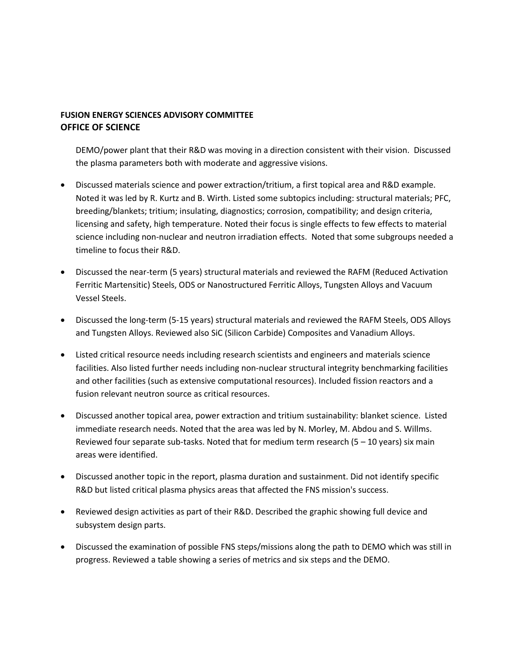DEMO/power plant that their R&D was moving in a direction consistent with their vision. Discussed the plasma parameters both with moderate and aggressive visions.

- Discussed materials science and power extraction/tritium, a first topical area and R&D example. Noted it was led by R. Kurtz and B. Wirth. Listed some subtopics including: structural materials; PFC, breeding/blankets; tritium; insulating, diagnostics; corrosion, compatibility; and design criteria, licensing and safety, high temperature. Noted their focus is single effects to few effects to material science including non-nuclear and neutron irradiation effects. Noted that some subgroups needed a timeline to focus their R&D.
- Discussed the near-term (5 years) structural materials and reviewed the RAFM (Reduced Activation Ferritic Martensitic) Steels, ODS or Nanostructured Ferritic Alloys, Tungsten Alloys and Vacuum Vessel Steels.
- Discussed the long-term (5-15 years) structural materials and reviewed the RAFM Steels, ODS Alloys and Tungsten Alloys. Reviewed also SiC (Silicon Carbide) Composites and Vanadium Alloys.
- Listed critical resource needs including research scientists and engineers and materials science facilities. Also listed further needs including non-nuclear structural integrity benchmarking facilities and other facilities (such as extensive computational resources). Included fission reactors and a fusion relevant neutron source as critical resources.
- Discussed another topical area, power extraction and tritium sustainability: blanket science. Listed immediate research needs. Noted that the area was led by N. Morley, M. Abdou and S. Willms. Reviewed four separate sub-tasks. Noted that for medium term research  $(5 - 10$  years) six main areas were identified.
- Discussed another topic in the report, plasma duration and sustainment. Did not identify specific R&D but listed critical plasma physics areas that affected the FNS mission's success.
- Reviewed design activities as part of their R&D. Described the graphic showing full device and subsystem design parts.
- Discussed the examination of possible FNS steps/missions along the path to DEMO which was still in progress. Reviewed a table showing a series of metrics and six steps and the DEMO.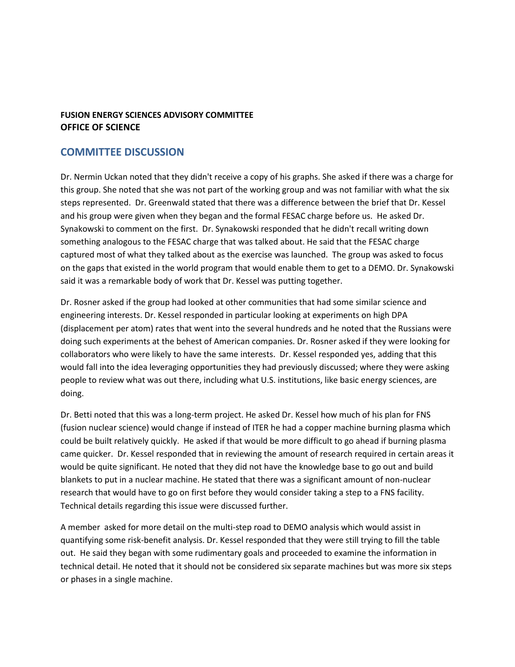# **COMMITTEE DISCUSSION**

Dr. Nermin Uckan noted that they didn't receive a copy of his graphs. She asked if there was a charge for this group. She noted that she was not part of the working group and was not familiar with what the six steps represented. Dr. Greenwald stated that there was a difference between the brief that Dr. Kessel and his group were given when they began and the formal FESAC charge before us. He asked Dr. Synakowski to comment on the first. Dr. Synakowski responded that he didn't recall writing down something analogous to the FESAC charge that was talked about. He said that the FESAC charge captured most of what they talked about as the exercise was launched. The group was asked to focus on the gaps that existed in the world program that would enable them to get to a DEMO. Dr. Synakowski said it was a remarkable body of work that Dr. Kessel was putting together.

Dr. Rosner asked if the group had looked at other communities that had some similar science and engineering interests. Dr. Kessel responded in particular looking at experiments on high DPA (displacement per atom) rates that went into the several hundreds and he noted that the Russians were doing such experiments at the behest of American companies. Dr. Rosner asked if they were looking for collaborators who were likely to have the same interests. Dr. Kessel responded yes, adding that this would fall into the idea leveraging opportunities they had previously discussed; where they were asking people to review what was out there, including what U.S. institutions, like basic energy sciences, are doing.

Dr. Betti noted that this was a long-term project. He asked Dr. Kessel how much of his plan for FNS (fusion nuclear science) would change if instead of ITER he had a copper machine burning plasma which could be built relatively quickly. He asked if that would be more difficult to go ahead if burning plasma came quicker. Dr. Kessel responded that in reviewing the amount of research required in certain areas it would be quite significant. He noted that they did not have the knowledge base to go out and build blankets to put in a nuclear machine. He stated that there was a significant amount of non-nuclear research that would have to go on first before they would consider taking a step to a FNS facility. Technical details regarding this issue were discussed further.

A member asked for more detail on the multi-step road to DEMO analysis which would assist in quantifying some risk-benefit analysis. Dr. Kessel responded that they were still trying to fill the table out. He said they began with some rudimentary goals and proceeded to examine the information in technical detail. He noted that it should not be considered six separate machines but was more six steps or phases in a single machine.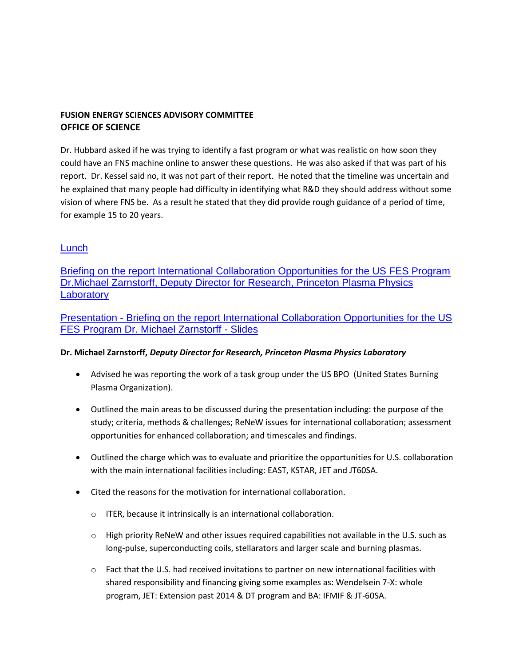Dr. Hubbard asked if he was trying to identify a fast program or what was realistic on how soon they could have an FNS machine online to answer these questions. He was also asked if that was part of his report. Dr. Kessel said no, it was not part of their report. He noted that the timeline was uncertain and he explained that many people had difficulty in identifying what R&D they should address without some vision of where FNS be. As a result he stated that they did provide rough guidance of a period of time, for example 15 to 20 years.

# [Lunch](http://doe.granicus.com/wordlinkreceiver.php?clip_id=f4c7ab3c-0abb-102f-bfd0-5f1650509f30&meta_id=1fcd89ca-0abc-102f-bfd0-5f1650509f30&time=11755)

[Briefing on the report International Collaboration Opportunities for the US FES Program](http://doe.granicus.com/wordlinkreceiver.php?clip_id=f4c7ab3c-0abb-102f-bfd0-5f1650509f30&meta_id=1fd1113c-0abc-102f-bfd0-5f1650509f30&time=15821)  [Dr.Michael Zarnstorff, Deputy Director for Research, Princeton Plasma Physics](http://doe.granicus.com/wordlinkreceiver.php?clip_id=f4c7ab3c-0abb-102f-bfd0-5f1650509f30&meta_id=1fd1113c-0abc-102f-bfd0-5f1650509f30&time=15821)  **Laboratory** 

Presentation - [Briefing on the report International Collaboration Opportunities for the US](http://doe.granicus.com/DocumentViewer.php?file=doe_011e1e2d1750dedf0af0cc12f1f03d55.pdf)  [FES Program Dr. Michael Zarnstorff -](http://doe.granicus.com/DocumentViewer.php?file=doe_011e1e2d1750dedf0af0cc12f1f03d55.pdf) Slides

#### **Dr. Michael Zarnstorff,** *Deputy Director for Research, Princeton Plasma Physics Laboratory*

- Advised he was reporting the work of a task group under the US BPO (United States Burning Plasma Organization).
- Outlined the main areas to be discussed during the presentation including: the purpose of the study; criteria, methods & challenges; ReNeW issues for international collaboration; assessment opportunities for enhanced collaboration; and timescales and findings.
- Outlined the charge which was to evaluate and prioritize the opportunities for U.S. collaboration with the main international facilities including: EAST, KSTAR, JET and JT60SA.
- Cited the reasons for the motivation for international collaboration.
	- o ITER, because it intrinsically is an international collaboration.
	- $\circ$  High priority ReNeW and other issues required capabilities not available in the U.S. such as long-pulse, superconducting coils, stellarators and larger scale and burning plasmas.
	- $\circ$  Fact that the U.S. had received invitations to partner on new international facilities with shared responsibility and financing giving some examples as: Wendelsein 7-X: whole program, JET: Extension past 2014 & DT program and BA: IFMIF & JT-60SA.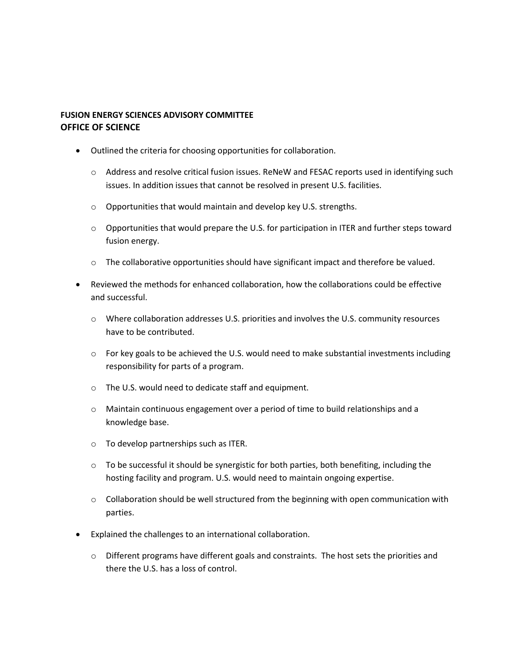- Outlined the criteria for choosing opportunities for collaboration.
	- $\circ$  Address and resolve critical fusion issues. ReNeW and FESAC reports used in identifying such issues. In addition issues that cannot be resolved in present U.S. facilities.
	- o Opportunities that would maintain and develop key U.S. strengths.
	- $\circ$  Opportunities that would prepare the U.S. for participation in ITER and further steps toward fusion energy.
	- $\circ$  The collaborative opportunities should have significant impact and therefore be valued.
- Reviewed the methods for enhanced collaboration, how the collaborations could be effective and successful.
	- o Where collaboration addresses U.S. priorities and involves the U.S. community resources have to be contributed.
	- $\circ$  For key goals to be achieved the U.S. would need to make substantial investments including responsibility for parts of a program.
	- o The U.S. would need to dedicate staff and equipment.
	- $\circ$  Maintain continuous engagement over a period of time to build relationships and a knowledge base.
	- o To develop partnerships such as ITER.
	- $\circ$  To be successful it should be synergistic for both parties, both benefiting, including the hosting facility and program. U.S. would need to maintain ongoing expertise.
	- $\circ$  Collaboration should be well structured from the beginning with open communication with parties.
- Explained the challenges to an international collaboration.
	- $\circ$  Different programs have different goals and constraints. The host sets the priorities and there the U.S. has a loss of control.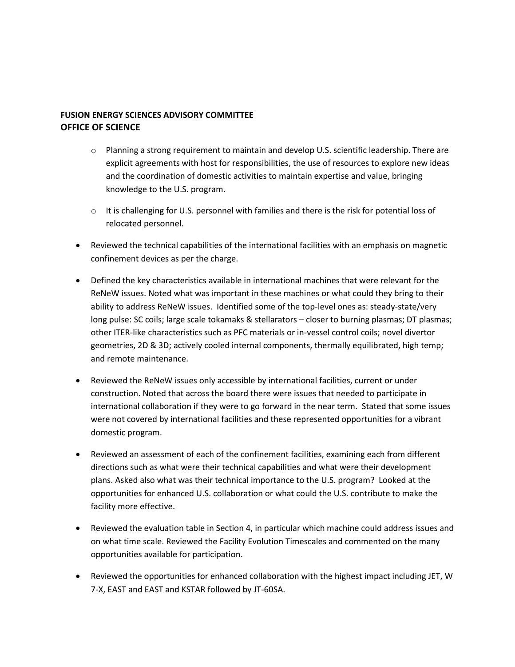- $\circ$  Planning a strong requirement to maintain and develop U.S. scientific leadership. There are explicit agreements with host for responsibilities, the use of resources to explore new ideas and the coordination of domestic activities to maintain expertise and value, bringing knowledge to the U.S. program.
- $\circ$  It is challenging for U.S. personnel with families and there is the risk for potential loss of relocated personnel.
- Reviewed the technical capabilities of the international facilities with an emphasis on magnetic confinement devices as per the charge.
- Defined the key characteristics available in international machines that were relevant for the ReNeW issues. Noted what was important in these machines or what could they bring to their ability to address ReNeW issues. Identified some of the top-level ones as: steady-state/very long pulse: SC coils; large scale tokamaks & stellarators – closer to burning plasmas; DT plasmas; other ITER-like characteristics such as PFC materials or in-vessel control coils; novel divertor geometries, 2D & 3D; actively cooled internal components, thermally equilibrated, high temp; and remote maintenance.
- Reviewed the ReNeW issues only accessible by international facilities, current or under construction. Noted that across the board there were issues that needed to participate in international collaboration if they were to go forward in the near term. Stated that some issues were not covered by international facilities and these represented opportunities for a vibrant domestic program.
- Reviewed an assessment of each of the confinement facilities, examining each from different directions such as what were their technical capabilities and what were their development plans. Asked also what was their technical importance to the U.S. program? Looked at the opportunities for enhanced U.S. collaboration or what could the U.S. contribute to make the facility more effective.
- Reviewed the evaluation table in Section 4, in particular which machine could address issues and on what time scale. Reviewed the Facility Evolution Timescales and commented on the many opportunities available for participation.
- Reviewed the opportunities for enhanced collaboration with the highest impact including JET, W 7-X, EAST and EAST and KSTAR followed by JT-60SA.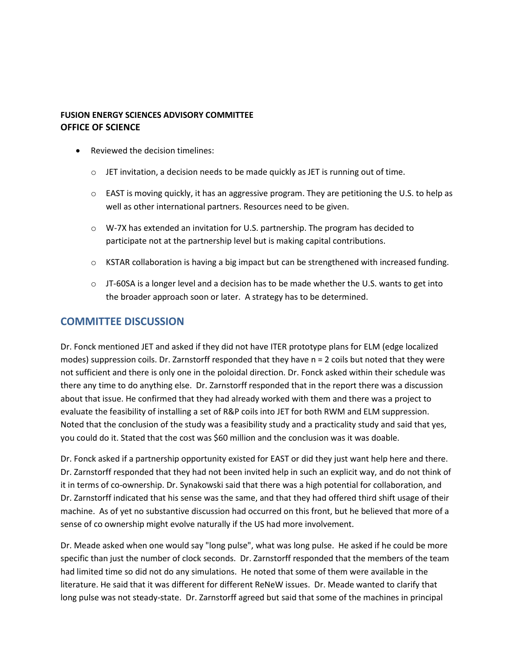- Reviewed the decision timelines:
	- $\circ$  JET invitation, a decision needs to be made quickly as JET is running out of time.
	- $\circ$  EAST is moving quickly, it has an aggressive program. They are petitioning the U.S. to help as well as other international partners. Resources need to be given.
	- $\circ$  W-7X has extended an invitation for U.S. partnership. The program has decided to participate not at the partnership level but is making capital contributions.
	- $\circ$  KSTAR collaboration is having a big impact but can be strengthened with increased funding.
	- $\circ$  JT-60SA is a longer level and a decision has to be made whether the U.S. wants to get into the broader approach soon or later. A strategy has to be determined.

# **COMMITTEE DISCUSSION**

Dr. Fonck mentioned JET and asked if they did not have ITER prototype plans for ELM (edge localized modes) suppression coils. Dr. Zarnstorff responded that they have n = 2 coils but noted that they were not sufficient and there is only one in the poloidal direction. Dr. Fonck asked within their schedule was there any time to do anything else. Dr. Zarnstorff responded that in the report there was a discussion about that issue. He confirmed that they had already worked with them and there was a project to evaluate the feasibility of installing a set of R&P coils into JET for both RWM and ELM suppression. Noted that the conclusion of the study was a feasibility study and a practicality study and said that yes, you could do it. Stated that the cost was \$60 million and the conclusion was it was doable.

Dr. Fonck asked if a partnership opportunity existed for EAST or did they just want help here and there. Dr. Zarnstorff responded that they had not been invited help in such an explicit way, and do not think of it in terms of co-ownership. Dr. Synakowski said that there was a high potential for collaboration, and Dr. Zarnstorff indicated that his sense was the same, and that they had offered third shift usage of their machine. As of yet no substantive discussion had occurred on this front, but he believed that more of a sense of co ownership might evolve naturally if the US had more involvement.

Dr. Meade asked when one would say "long pulse", what was long pulse. He asked if he could be more specific than just the number of clock seconds. Dr. Zarnstorff responded that the members of the team had limited time so did not do any simulations. He noted that some of them were available in the literature. He said that it was different for different ReNeW issues. Dr. Meade wanted to clarify that long pulse was not steady-state. Dr. Zarnstorff agreed but said that some of the machines in principal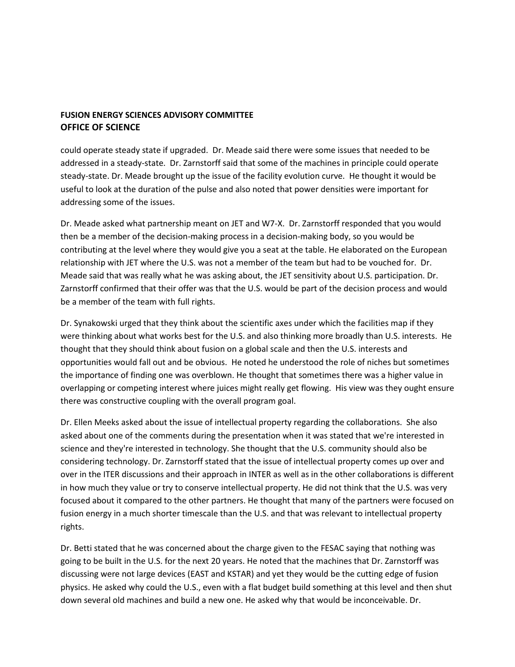could operate steady state if upgraded. Dr. Meade said there were some issues that needed to be addressed in a steady-state. Dr. Zarnstorff said that some of the machines in principle could operate steady-state. Dr. Meade brought up the issue of the facility evolution curve. He thought it would be useful to look at the duration of the pulse and also noted that power densities were important for addressing some of the issues.

Dr. Meade asked what partnership meant on JET and W7-X. Dr. Zarnstorff responded that you would then be a member of the decision-making process in a decision-making body, so you would be contributing at the level where they would give you a seat at the table. He elaborated on the European relationship with JET where the U.S. was not a member of the team but had to be vouched for. Dr. Meade said that was really what he was asking about, the JET sensitivity about U.S. participation. Dr. Zarnstorff confirmed that their offer was that the U.S. would be part of the decision process and would be a member of the team with full rights.

Dr. Synakowski urged that they think about the scientific axes under which the facilities map if they were thinking about what works best for the U.S. and also thinking more broadly than U.S. interests. He thought that they should think about fusion on a global scale and then the U.S. interests and opportunities would fall out and be obvious. He noted he understood the role of niches but sometimes the importance of finding one was overblown. He thought that sometimes there was a higher value in overlapping or competing interest where juices might really get flowing. His view was they ought ensure there was constructive coupling with the overall program goal.

Dr. Ellen Meeks asked about the issue of intellectual property regarding the collaborations. She also asked about one of the comments during the presentation when it was stated that we're interested in science and they're interested in technology. She thought that the U.S. community should also be considering technology. Dr. Zarnstorff stated that the issue of intellectual property comes up over and over in the ITER discussions and their approach in INTER as well as in the other collaborations is different in how much they value or try to conserve intellectual property. He did not think that the U.S. was very focused about it compared to the other partners. He thought that many of the partners were focused on fusion energy in a much shorter timescale than the U.S. and that was relevant to intellectual property rights.

Dr. Betti stated that he was concerned about the charge given to the FESAC saying that nothing was going to be built in the U.S. for the next 20 years. He noted that the machines that Dr. Zarnstorff was discussing were not large devices (EAST and KSTAR) and yet they would be the cutting edge of fusion physics. He asked why could the U.S., even with a flat budget build something at this level and then shut down several old machines and build a new one. He asked why that would be inconceivable. Dr.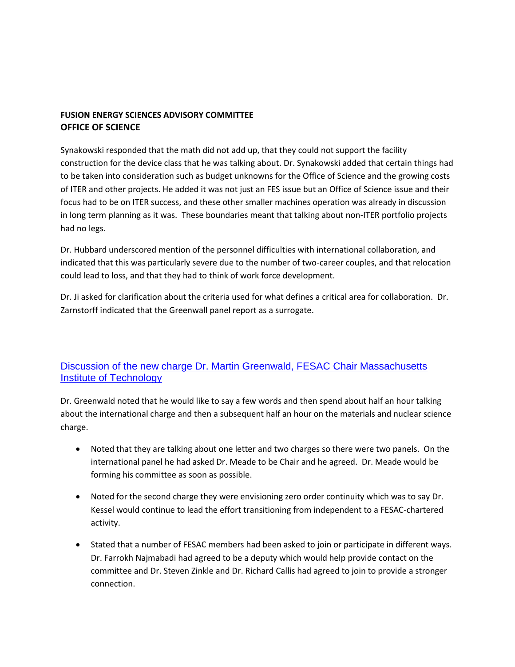Synakowski responded that the math did not add up, that they could not support the facility construction for the device class that he was talking about. Dr. Synakowski added that certain things had to be taken into consideration such as budget unknowns for the Office of Science and the growing costs of ITER and other projects. He added it was not just an FES issue but an Office of Science issue and their focus had to be on ITER success, and these other smaller machines operation was already in discussion in long term planning as it was. These boundaries meant that talking about non-ITER portfolio projects had no legs.

Dr. Hubbard underscored mention of the personnel difficulties with international collaboration, and indicated that this was particularly severe due to the number of two-career couples, and that relocation could lead to loss, and that they had to think of work force development.

Dr. Ji asked for clarification about the criteria used for what defines a critical area for collaboration. Dr. Zarnstorff indicated that the Greenwall panel report as a surrogate.

# [Discussion of the new charge Dr. Martin Greenwald, FESAC Chair Massachusetts](http://doe.granicus.com/wordlinkreceiver.php?clip_id=f4c7ab3c-0abb-102f-bfd0-5f1650509f30&meta_id=1fd3ab1a-0abc-102f-bfd0-5f1650509f30&time=20025)  **Institute of Technology**

Dr. Greenwald noted that he would like to say a few words and then spend about half an hour talking about the international charge and then a subsequent half an hour on the materials and nuclear science charge.

- Noted that they are talking about one letter and two charges so there were two panels. On the international panel he had asked Dr. Meade to be Chair and he agreed. Dr. Meade would be forming his committee as soon as possible.
- Noted for the second charge they were envisioning zero order continuity which was to say Dr. Kessel would continue to lead the effort transitioning from independent to a FESAC-chartered activity.
- Stated that a number of FESAC members had been asked to join or participate in different ways. Dr. Farrokh Najmabadi had agreed to be a deputy which would help provide contact on the committee and Dr. Steven Zinkle and Dr. Richard Callis had agreed to join to provide a stronger connection.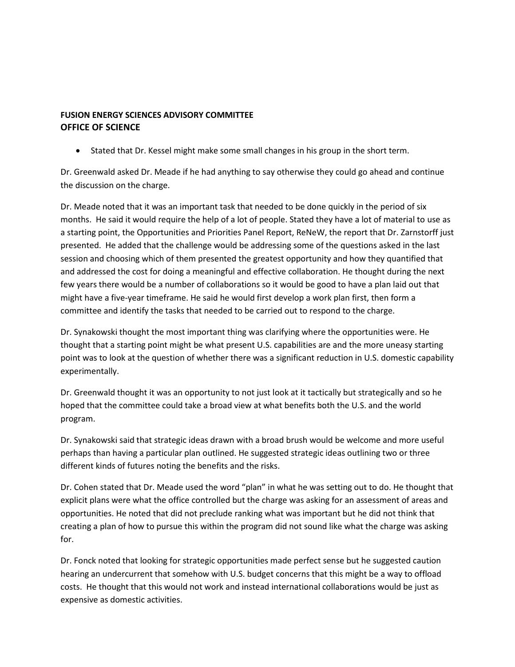• Stated that Dr. Kessel might make some small changes in his group in the short term.

Dr. Greenwald asked Dr. Meade if he had anything to say otherwise they could go ahead and continue the discussion on the charge.

Dr. Meade noted that it was an important task that needed to be done quickly in the period of six months. He said it would require the help of a lot of people. Stated they have a lot of material to use as a starting point, the Opportunities and Priorities Panel Report, ReNeW, the report that Dr. Zarnstorff just presented. He added that the challenge would be addressing some of the questions asked in the last session and choosing which of them presented the greatest opportunity and how they quantified that and addressed the cost for doing a meaningful and effective collaboration. He thought during the next few years there would be a number of collaborations so it would be good to have a plan laid out that might have a five-year timeframe. He said he would first develop a work plan first, then form a committee and identify the tasks that needed to be carried out to respond to the charge.

Dr. Synakowski thought the most important thing was clarifying where the opportunities were. He thought that a starting point might be what present U.S. capabilities are and the more uneasy starting point was to look at the question of whether there was a significant reduction in U.S. domestic capability experimentally.

Dr. Greenwald thought it was an opportunity to not just look at it tactically but strategically and so he hoped that the committee could take a broad view at what benefits both the U.S. and the world program.

Dr. Synakowski said that strategic ideas drawn with a broad brush would be welcome and more useful perhaps than having a particular plan outlined. He suggested strategic ideas outlining two or three different kinds of futures noting the benefits and the risks.

Dr. Cohen stated that Dr. Meade used the word "plan" in what he was setting out to do. He thought that explicit plans were what the office controlled but the charge was asking for an assessment of areas and opportunities. He noted that did not preclude ranking what was important but he did not think that creating a plan of how to pursue this within the program did not sound like what the charge was asking for.

Dr. Fonck noted that looking for strategic opportunities made perfect sense but he suggested caution hearing an undercurrent that somehow with U.S. budget concerns that this might be a way to offload costs. He thought that this would not work and instead international collaborations would be just as expensive as domestic activities.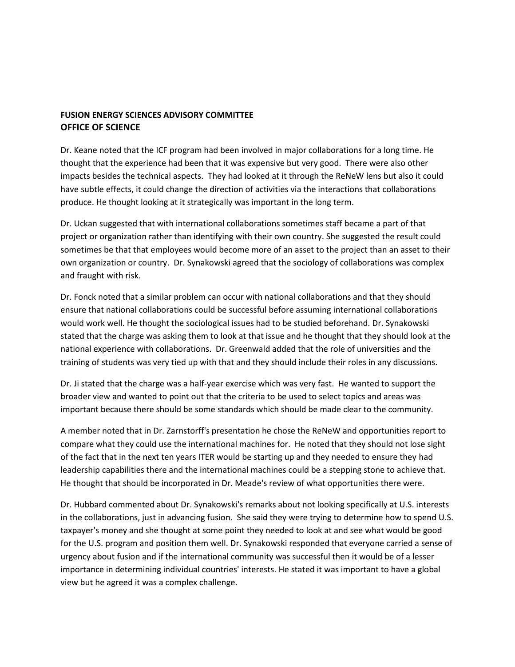Dr. Keane noted that the ICF program had been involved in major collaborations for a long time. He thought that the experience had been that it was expensive but very good. There were also other impacts besides the technical aspects. They had looked at it through the ReNeW lens but also it could have subtle effects, it could change the direction of activities via the interactions that collaborations produce. He thought looking at it strategically was important in the long term.

Dr. Uckan suggested that with international collaborations sometimes staff became a part of that project or organization rather than identifying with their own country. She suggested the result could sometimes be that that employees would become more of an asset to the project than an asset to their own organization or country. Dr. Synakowski agreed that the sociology of collaborations was complex and fraught with risk.

Dr. Fonck noted that a similar problem can occur with national collaborations and that they should ensure that national collaborations could be successful before assuming international collaborations would work well. He thought the sociological issues had to be studied beforehand. Dr. Synakowski stated that the charge was asking them to look at that issue and he thought that they should look at the national experience with collaborations. Dr. Greenwald added that the role of universities and the training of students was very tied up with that and they should include their roles in any discussions.

Dr. Ji stated that the charge was a half-year exercise which was very fast. He wanted to support the broader view and wanted to point out that the criteria to be used to select topics and areas was important because there should be some standards which should be made clear to the community.

A member noted that in Dr. Zarnstorff's presentation he chose the ReNeW and opportunities report to compare what they could use the international machines for. He noted that they should not lose sight of the fact that in the next ten years ITER would be starting up and they needed to ensure they had leadership capabilities there and the international machines could be a stepping stone to achieve that. He thought that should be incorporated in Dr. Meade's review of what opportunities there were.

Dr. Hubbard commented about Dr. Synakowski's remarks about not looking specifically at U.S. interests in the collaborations, just in advancing fusion. She said they were trying to determine how to spend U.S. taxpayer's money and she thought at some point they needed to look at and see what would be good for the U.S. program and position them well. Dr. Synakowski responded that everyone carried a sense of urgency about fusion and if the international community was successful then it would be of a lesser importance in determining individual countries' interests. He stated it was important to have a global view but he agreed it was a complex challenge.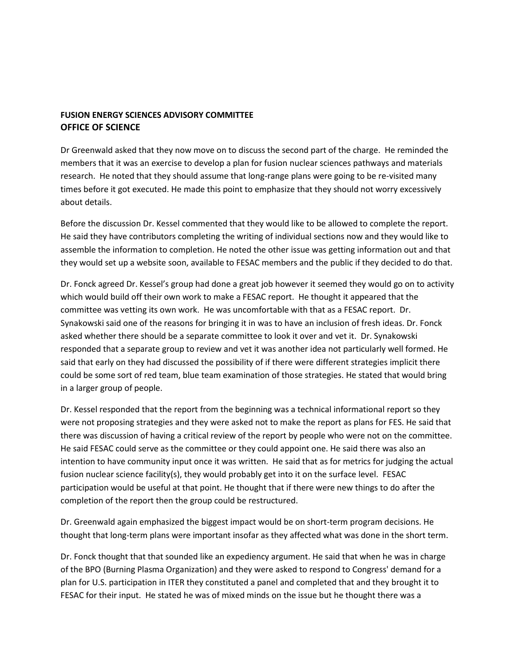Dr Greenwald asked that they now move on to discuss the second part of the charge. He reminded the members that it was an exercise to develop a plan for fusion nuclear sciences pathways and materials research. He noted that they should assume that long-range plans were going to be re-visited many times before it got executed. He made this point to emphasize that they should not worry excessively about details.

Before the discussion Dr. Kessel commented that they would like to be allowed to complete the report. He said they have contributors completing the writing of individual sections now and they would like to assemble the information to completion. He noted the other issue was getting information out and that they would set up a website soon, available to FESAC members and the public if they decided to do that.

Dr. Fonck agreed Dr. Kessel's group had done a great job however it seemed they would go on to activity which would build off their own work to make a FESAC report. He thought it appeared that the committee was vetting its own work. He was uncomfortable with that as a FESAC report. Dr. Synakowski said one of the reasons for bringing it in was to have an inclusion of fresh ideas. Dr. Fonck asked whether there should be a separate committee to look it over and vet it. Dr. Synakowski responded that a separate group to review and vet it was another idea not particularly well formed. He said that early on they had discussed the possibility of if there were different strategies implicit there could be some sort of red team, blue team examination of those strategies. He stated that would bring in a larger group of people.

Dr. Kessel responded that the report from the beginning was a technical informational report so they were not proposing strategies and they were asked not to make the report as plans for FES. He said that there was discussion of having a critical review of the report by people who were not on the committee. He said FESAC could serve as the committee or they could appoint one. He said there was also an intention to have community input once it was written. He said that as for metrics for judging the actual fusion nuclear science facility(s), they would probably get into it on the surface level. FESAC participation would be useful at that point. He thought that if there were new things to do after the completion of the report then the group could be restructured.

Dr. Greenwald again emphasized the biggest impact would be on short-term program decisions. He thought that long-term plans were important insofar as they affected what was done in the short term.

Dr. Fonck thought that that sounded like an expediency argument. He said that when he was in charge of the BPO (Burning Plasma Organization) and they were asked to respond to Congress' demand for a plan for U.S. participation in ITER they constituted a panel and completed that and they brought it to FESAC for their input. He stated he was of mixed minds on the issue but he thought there was a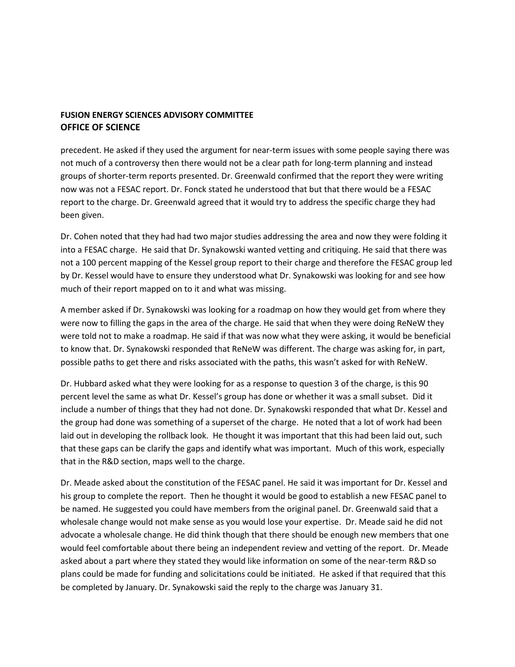precedent. He asked if they used the argument for near-term issues with some people saying there was not much of a controversy then there would not be a clear path for long-term planning and instead groups of shorter-term reports presented. Dr. Greenwald confirmed that the report they were writing now was not a FESAC report. Dr. Fonck stated he understood that but that there would be a FESAC report to the charge. Dr. Greenwald agreed that it would try to address the specific charge they had been given.

Dr. Cohen noted that they had had two major studies addressing the area and now they were folding it into a FESAC charge. He said that Dr. Synakowski wanted vetting and critiquing. He said that there was not a 100 percent mapping of the Kessel group report to their charge and therefore the FESAC group led by Dr. Kessel would have to ensure they understood what Dr. Synakowski was looking for and see how much of their report mapped on to it and what was missing.

A member asked if Dr. Synakowski was looking for a roadmap on how they would get from where they were now to filling the gaps in the area of the charge. He said that when they were doing ReNeW they were told not to make a roadmap. He said if that was now what they were asking, it would be beneficial to know that. Dr. Synakowski responded that ReNeW was different. The charge was asking for, in part, possible paths to get there and risks associated with the paths, this wasn't asked for with ReNeW.

Dr. Hubbard asked what they were looking for as a response to question 3 of the charge, is this 90 percent level the same as what Dr. Kessel's group has done or whether it was a small subset. Did it include a number of things that they had not done. Dr. Synakowski responded that what Dr. Kessel and the group had done was something of a superset of the charge. He noted that a lot of work had been laid out in developing the rollback look. He thought it was important that this had been laid out, such that these gaps can be clarify the gaps and identify what was important. Much of this work, especially that in the R&D section, maps well to the charge.

Dr. Meade asked about the constitution of the FESAC panel. He said it was important for Dr. Kessel and his group to complete the report. Then he thought it would be good to establish a new FESAC panel to be named. He suggested you could have members from the original panel. Dr. Greenwald said that a wholesale change would not make sense as you would lose your expertise. Dr. Meade said he did not advocate a wholesale change. He did think though that there should be enough new members that one would feel comfortable about there being an independent review and vetting of the report. Dr. Meade asked about a part where they stated they would like information on some of the near-term R&D so plans could be made for funding and solicitations could be initiated. He asked if that required that this be completed by January. Dr. Synakowski said the reply to the charge was January 31.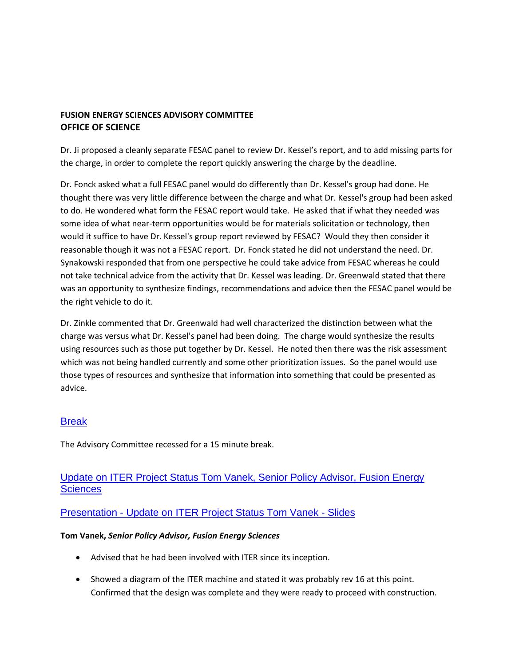Dr. Ji proposed a cleanly separate FESAC panel to review Dr. Kessel's report, and to add missing parts for the charge, in order to complete the report quickly answering the charge by the deadline.

Dr. Fonck asked what a full FESAC panel would do differently than Dr. Kessel's group had done. He thought there was very little difference between the charge and what Dr. Kessel's group had been asked to do. He wondered what form the FESAC report would take. He asked that if what they needed was some idea of what near-term opportunities would be for materials solicitation or technology, then would it suffice to have Dr. Kessel's group report reviewed by FESAC? Would they then consider it reasonable though it was not a FESAC report. Dr. Fonck stated he did not understand the need. Dr. Synakowski responded that from one perspective he could take advice from FESAC whereas he could not take technical advice from the activity that Dr. Kessel was leading. Dr. Greenwald stated that there was an opportunity to synthesize findings, recommendations and advice then the FESAC panel would be the right vehicle to do it.

Dr. Zinkle commented that Dr. Greenwald had well characterized the distinction between what the charge was versus what Dr. Kessel's panel had been doing. The charge would synthesize the results using resources such as those put together by Dr. Kessel. He noted then there was the risk assessment which was not being handled currently and some other prioritization issues. So the panel would use those types of resources and synthesize that information into something that could be presented as advice.

# [Break](http://doe.granicus.com/wordlinkreceiver.php?clip_id=f4c7ab3c-0abb-102f-bfd0-5f1650509f30&meta_id=1fd72755-0abc-102f-bfd0-5f1650509f30&time=23521)

The Advisory Committee recessed for a 15 minute break.

# [Update on ITER Project Status Tom Vanek, Senior Policy Advisor, Fusion Energy](http://doe.granicus.com/wordlinkreceiver.php?clip_id=f4c7ab3c-0abb-102f-bfd0-5f1650509f30&meta_id=1fda38f8-0abc-102f-bfd0-5f1650509f30&time=24760)  **Sciences**

## Presentation - [Update on ITER Project Status Tom Vanek -](http://doe.granicus.com/DocumentViewer.php?file=doe_d6997eda36658076d22f307592b861a2.pdf) Slides

#### **Tom Vanek,** *Senior Policy Advisor, Fusion Energy Sciences*

- Advised that he had been involved with ITER since its inception.
- Showed a diagram of the ITER machine and stated it was probably rev 16 at this point. Confirmed that the design was complete and they were ready to proceed with construction.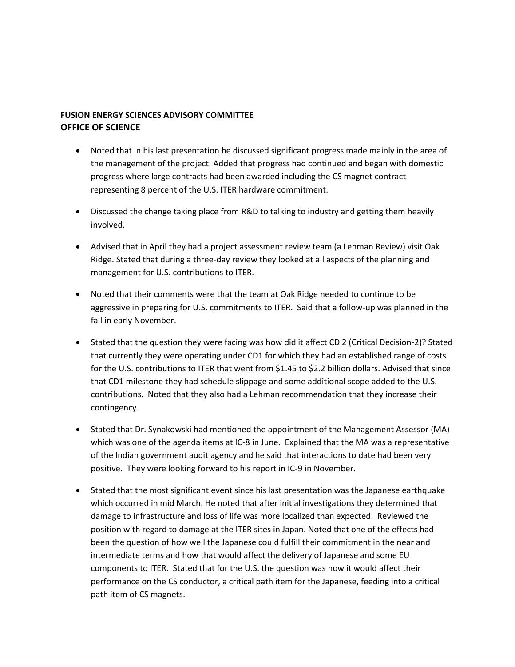- Noted that in his last presentation he discussed significant progress made mainly in the area of the management of the project. Added that progress had continued and began with domestic progress where large contracts had been awarded including the CS magnet contract representing 8 percent of the U.S. ITER hardware commitment.
- Discussed the change taking place from R&D to talking to industry and getting them heavily involved.
- Advised that in April they had a project assessment review team (a Lehman Review) visit Oak Ridge. Stated that during a three-day review they looked at all aspects of the planning and management for U.S. contributions to ITER.
- Noted that their comments were that the team at Oak Ridge needed to continue to be aggressive in preparing for U.S. commitments to ITER. Said that a follow-up was planned in the fall in early November.
- Stated that the question they were facing was how did it affect CD 2 (Critical Decision-2)? Stated that currently they were operating under CD1 for which they had an established range of costs for the U.S. contributions to ITER that went from \$1.45 to \$2.2 billion dollars. Advised that since that CD1 milestone they had schedule slippage and some additional scope added to the U.S. contributions. Noted that they also had a Lehman recommendation that they increase their contingency.
- Stated that Dr. Synakowski had mentioned the appointment of the Management Assessor (MA) which was one of the agenda items at IC-8 in June. Explained that the MA was a representative of the Indian government audit agency and he said that interactions to date had been very positive. They were looking forward to his report in IC-9 in November.
- Stated that the most significant event since his last presentation was the Japanese earthquake which occurred in mid March. He noted that after initial investigations they determined that damage to infrastructure and loss of life was more localized than expected. Reviewed the position with regard to damage at the ITER sites in Japan. Noted that one of the effects had been the question of how well the Japanese could fulfill their commitment in the near and intermediate terms and how that would affect the delivery of Japanese and some EU components to ITER. Stated that for the U.S. the question was how it would affect their performance on the CS conductor, a critical path item for the Japanese, feeding into a critical path item of CS magnets.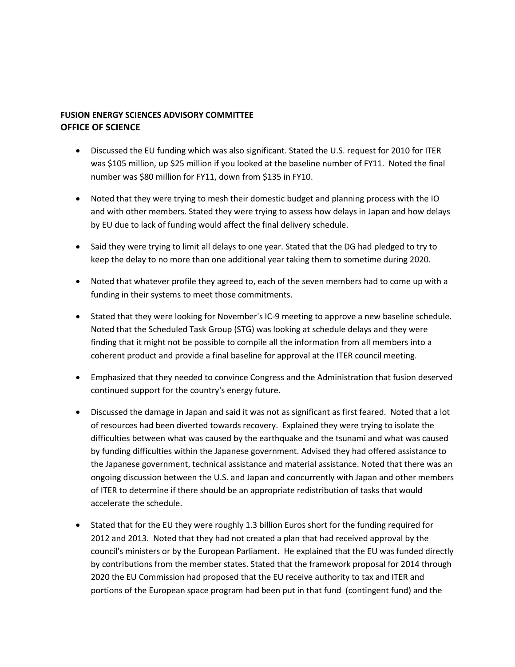- Discussed the EU funding which was also significant. Stated the U.S. request for 2010 for ITER was \$105 million, up \$25 million if you looked at the baseline number of FY11. Noted the final number was \$80 million for FY11, down from \$135 in FY10.
- Noted that they were trying to mesh their domestic budget and planning process with the IO and with other members. Stated they were trying to assess how delays in Japan and how delays by EU due to lack of funding would affect the final delivery schedule.
- Said they were trying to limit all delays to one year. Stated that the DG had pledged to try to keep the delay to no more than one additional year taking them to sometime during 2020.
- Noted that whatever profile they agreed to, each of the seven members had to come up with a funding in their systems to meet those commitments.
- Stated that they were looking for November's IC-9 meeting to approve a new baseline schedule. Noted that the Scheduled Task Group (STG) was looking at schedule delays and they were finding that it might not be possible to compile all the information from all members into a coherent product and provide a final baseline for approval at the ITER council meeting.
- Emphasized that they needed to convince Congress and the Administration that fusion deserved continued support for the country's energy future.
- Discussed the damage in Japan and said it was not as significant as first feared. Noted that a lot of resources had been diverted towards recovery. Explained they were trying to isolate the difficulties between what was caused by the earthquake and the tsunami and what was caused by funding difficulties within the Japanese government. Advised they had offered assistance to the Japanese government, technical assistance and material assistance. Noted that there was an ongoing discussion between the U.S. and Japan and concurrently with Japan and other members of ITER to determine if there should be an appropriate redistribution of tasks that would accelerate the schedule.
- Stated that for the EU they were roughly 1.3 billion Euros short for the funding required for 2012 and 2013. Noted that they had not created a plan that had received approval by the council's ministers or by the European Parliament. He explained that the EU was funded directly by contributions from the member states. Stated that the framework proposal for 2014 through 2020 the EU Commission had proposed that the EU receive authority to tax and ITER and portions of the European space program had been put in that fund (contingent fund) and the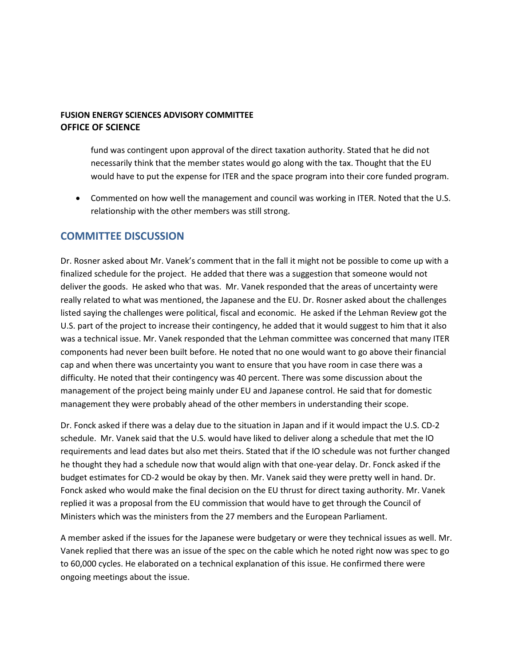fund was contingent upon approval of the direct taxation authority. Stated that he did not necessarily think that the member states would go along with the tax. Thought that the EU would have to put the expense for ITER and the space program into their core funded program.

 Commented on how well the management and council was working in ITER. Noted that the U.S. relationship with the other members was still strong.

## **COMMITTEE DISCUSSION**

Dr. Rosner asked about Mr. Vanek's comment that in the fall it might not be possible to come up with a finalized schedule for the project. He added that there was a suggestion that someone would not deliver the goods. He asked who that was. Mr. Vanek responded that the areas of uncertainty were really related to what was mentioned, the Japanese and the EU. Dr. Rosner asked about the challenges listed saying the challenges were political, fiscal and economic. He asked if the Lehman Review got the U.S. part of the project to increase their contingency, he added that it would suggest to him that it also was a technical issue. Mr. Vanek responded that the Lehman committee was concerned that many ITER components had never been built before. He noted that no one would want to go above their financial cap and when there was uncertainty you want to ensure that you have room in case there was a difficulty. He noted that their contingency was 40 percent. There was some discussion about the management of the project being mainly under EU and Japanese control. He said that for domestic management they were probably ahead of the other members in understanding their scope.

Dr. Fonck asked if there was a delay due to the situation in Japan and if it would impact the U.S. CD-2 schedule. Mr. Vanek said that the U.S. would have liked to deliver along a schedule that met the IO requirements and lead dates but also met theirs. Stated that if the IO schedule was not further changed he thought they had a schedule now that would align with that one-year delay. Dr. Fonck asked if the budget estimates for CD-2 would be okay by then. Mr. Vanek said they were pretty well in hand. Dr. Fonck asked who would make the final decision on the EU thrust for direct taxing authority. Mr. Vanek replied it was a proposal from the EU commission that would have to get through the Council of Ministers which was the ministers from the 27 members and the European Parliament.

A member asked if the issues for the Japanese were budgetary or were they technical issues as well. Mr. Vanek replied that there was an issue of the spec on the cable which he noted right now was spec to go to 60,000 cycles. He elaborated on a technical explanation of this issue. He confirmed there were ongoing meetings about the issue.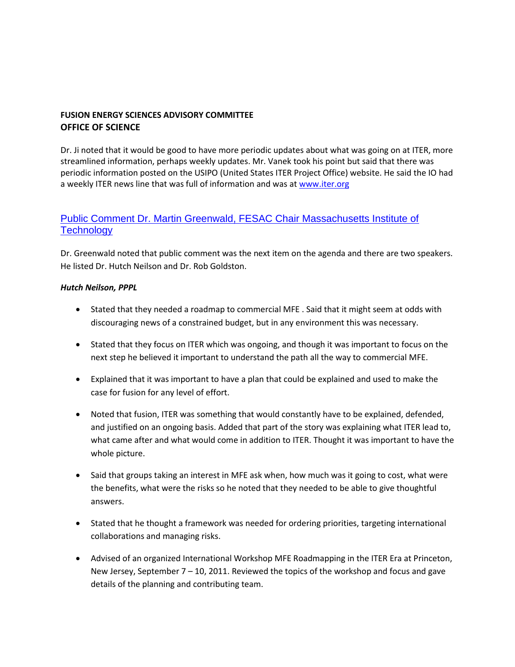Dr. Ji noted that it would be good to have more periodic updates about what was going on at ITER, more streamlined information, perhaps weekly updates. Mr. Vanek took his point but said that there was periodic information posted on the USIPO (United States ITER Project Office) website. He said the IO had a weekly ITER news line that was full of information and was a[t www.iter.org](http://www.iter.org/)

# [Public Comment Dr. Martin Greenwald, FESAC Chair Massachusetts Institute of](http://doe.granicus.com/wordlinkreceiver.php?clip_id=f4c7ab3c-0abb-102f-bfd0-5f1650509f30&meta_id=1fde1ec3-0abc-102f-bfd0-5f1650509f30&time=26996)  **Technology**

Dr. Greenwald noted that public comment was the next item on the agenda and there are two speakers. He listed Dr. Hutch Neilson and Dr. Rob Goldston.

#### *Hutch Neilson, PPPL*

- Stated that they needed a roadmap to commercial MFE . Said that it might seem at odds with discouraging news of a constrained budget, but in any environment this was necessary.
- Stated that they focus on ITER which was ongoing, and though it was important to focus on the next step he believed it important to understand the path all the way to commercial MFE.
- Explained that it was important to have a plan that could be explained and used to make the case for fusion for any level of effort.
- Noted that fusion, ITER was something that would constantly have to be explained, defended, and justified on an ongoing basis. Added that part of the story was explaining what ITER lead to, what came after and what would come in addition to ITER. Thought it was important to have the whole picture.
- Said that groups taking an interest in MFE ask when, how much was it going to cost, what were the benefits, what were the risks so he noted that they needed to be able to give thoughtful answers.
- Stated that he thought a framework was needed for ordering priorities, targeting international collaborations and managing risks.
- Advised of an organized International Workshop MFE Roadmapping in the ITER Era at Princeton, New Jersey, September 7 – 10, 2011. Reviewed the topics of the workshop and focus and gave details of the planning and contributing team.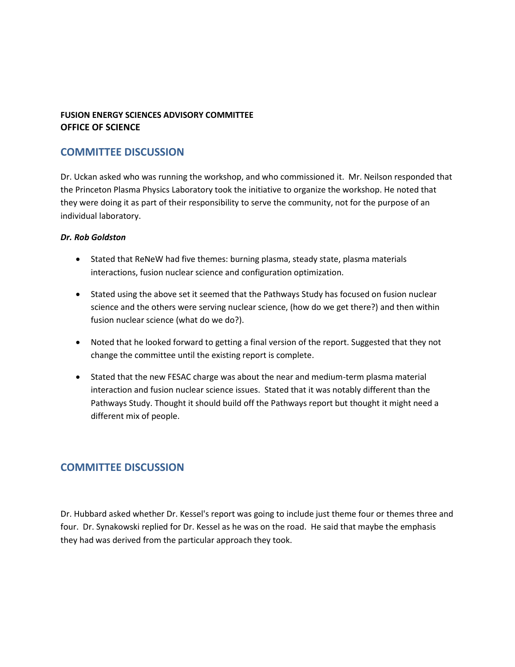# **COMMITTEE DISCUSSION**

Dr. Uckan asked who was running the workshop, and who commissioned it. Mr. Neilson responded that the Princeton Plasma Physics Laboratory took the initiative to organize the workshop. He noted that they were doing it as part of their responsibility to serve the community, not for the purpose of an individual laboratory.

#### *Dr. Rob Goldston*

- Stated that ReNeW had five themes: burning plasma, steady state, plasma materials interactions, fusion nuclear science and configuration optimization.
- Stated using the above set it seemed that the Pathways Study has focused on fusion nuclear science and the others were serving nuclear science, (how do we get there?) and then within fusion nuclear science (what do we do?).
- Noted that he looked forward to getting a final version of the report. Suggested that they not change the committee until the existing report is complete.
- Stated that the new FESAC charge was about the near and medium-term plasma material interaction and fusion nuclear science issues. Stated that it was notably different than the Pathways Study. Thought it should build off the Pathways report but thought it might need a different mix of people.

# **COMMITTEE DISCUSSION**

Dr. Hubbard asked whether Dr. Kessel's report was going to include just theme four or themes three and four. Dr. Synakowski replied for Dr. Kessel as he was on the road. He said that maybe the emphasis they had was derived from the particular approach they took.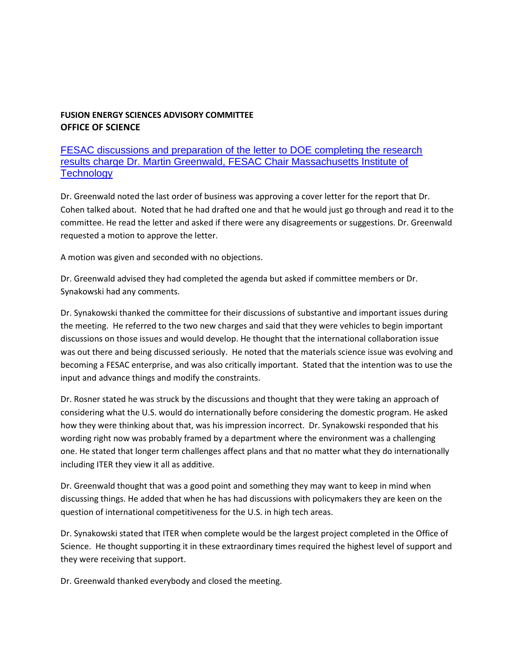# [FESAC discussions and preparation of the letter to DOE completing the research](http://doe.granicus.com/wordlinkreceiver.php?clip_id=f4c7ab3c-0abb-102f-bfd0-5f1650509f30&meta_id=1fe160f3-0abc-102f-bfd0-5f1650509f30&time=27889)  [results charge Dr. Martin Greenwald, FESAC Chair Massachusetts Institute of](http://doe.granicus.com/wordlinkreceiver.php?clip_id=f4c7ab3c-0abb-102f-bfd0-5f1650509f30&meta_id=1fe160f3-0abc-102f-bfd0-5f1650509f30&time=27889)  **Technology**

Dr. Greenwald noted the last order of business was approving a cover letter for the report that Dr. Cohen talked about. Noted that he had drafted one and that he would just go through and read it to the committee. He read the letter and asked if there were any disagreements or suggestions. Dr. Greenwald requested a motion to approve the letter.

A motion was given and seconded with no objections.

Dr. Greenwald advised they had completed the agenda but asked if committee members or Dr. Synakowski had any comments.

Dr. Synakowski thanked the committee for their discussions of substantive and important issues during the meeting. He referred to the two new charges and said that they were vehicles to begin important discussions on those issues and would develop. He thought that the international collaboration issue was out there and being discussed seriously. He noted that the materials science issue was evolving and becoming a FESAC enterprise, and was also critically important. Stated that the intention was to use the input and advance things and modify the constraints.

Dr. Rosner stated he was struck by the discussions and thought that they were taking an approach of considering what the U.S. would do internationally before considering the domestic program. He asked how they were thinking about that, was his impression incorrect. Dr. Synakowski responded that his wording right now was probably framed by a department where the environment was a challenging one. He stated that longer term challenges affect plans and that no matter what they do internationally including ITER they view it all as additive.

Dr. Greenwald thought that was a good point and something they may want to keep in mind when discussing things. He added that when he has had discussions with policymakers they are keen on the question of international competitiveness for the U.S. in high tech areas.

Dr. Synakowski stated that ITER when complete would be the largest project completed in the Office of Science. He thought supporting it in these extraordinary times required the highest level of support and they were receiving that support.

Dr. Greenwald thanked everybody and closed the meeting.